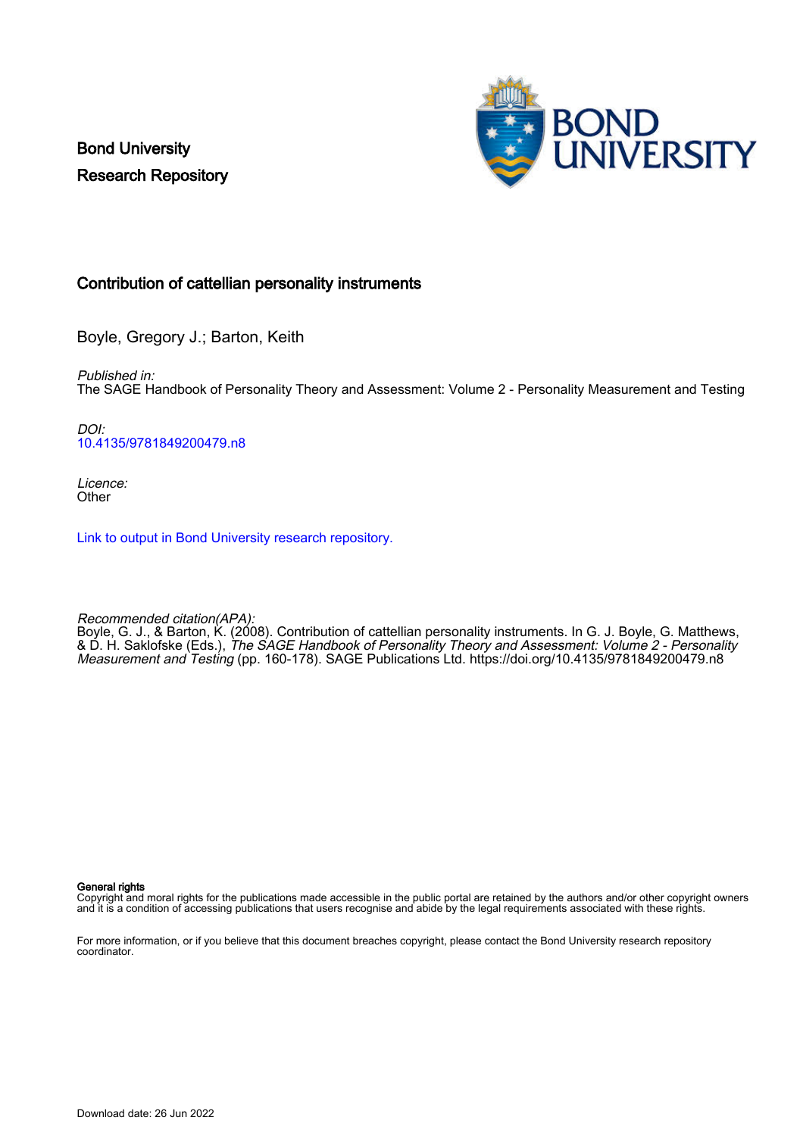Bond University Research Repository



## Contribution of cattellian personality instruments

Boyle, Gregory J.; Barton, Keith

Published in: The SAGE Handbook of Personality Theory and Assessment: Volume 2 - Personality Measurement and Testing

DOI: [10.4135/9781849200479.n8](https://doi.org/10.4135/9781849200479.n8)

Licence: **Other** 

[Link to output in Bond University research repository.](https://research.bond.edu.au/en/publications/98622cb5-ea52-4e4d-8d04-f52ea7cfb2e0)

Recommended citation(APA):

Boyle, G. J., & Barton, K. (2008). Contribution of cattellian personality instruments. In G. J. Boyle, G. Matthews, & D. H. Saklofske (Eds.), The SAGE Handbook of Personality Theory and Assessment: Volume 2 - Personality Measurement and Testing (pp. 160-178). SAGE Publications Ltd.<https://doi.org/10.4135/9781849200479.n8>

General rights

Copyright and moral rights for the publications made accessible in the public portal are retained by the authors and/or other copyright owners and it is a condition of accessing publications that users recognise and abide by the legal requirements associated with these rights.

For more information, or if you believe that this document breaches copyright, please contact the Bond University research repository coordinator.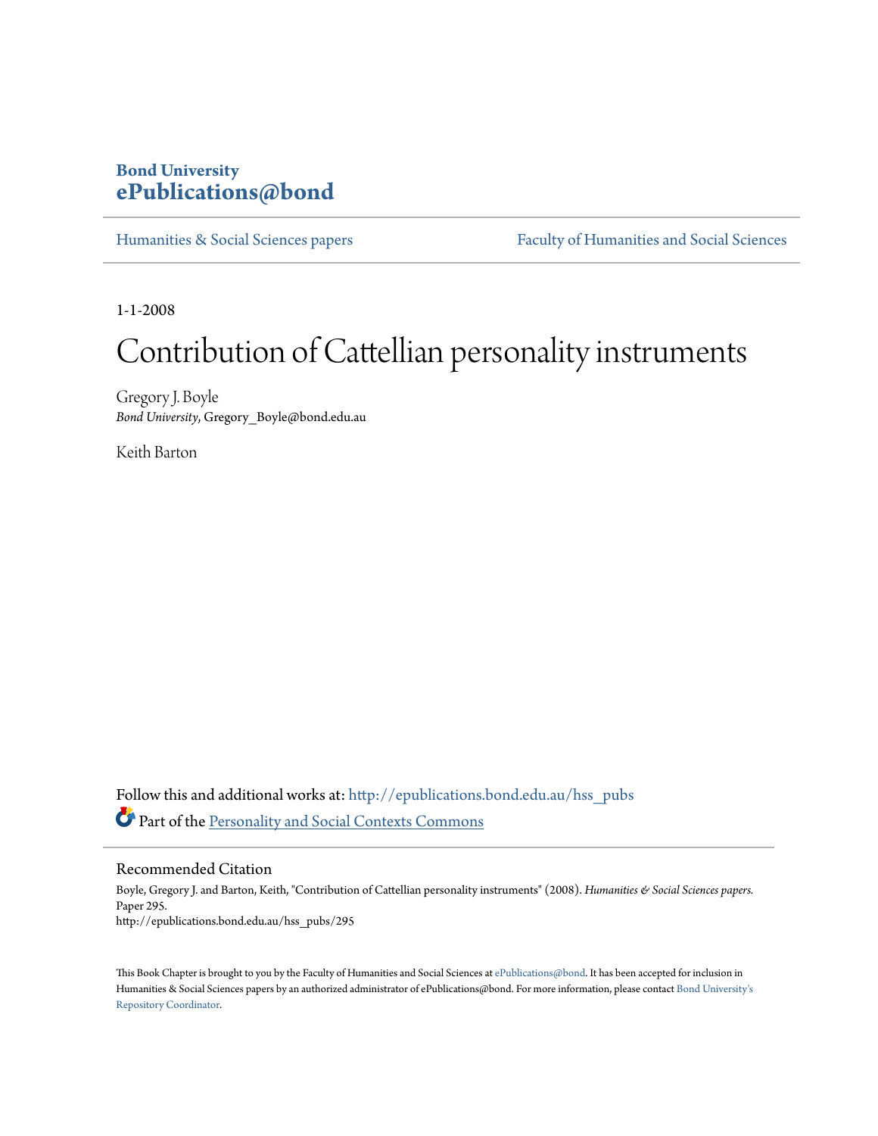# **Bond University [ePublications@bond](http://epublications.bond.edu.au?utm_source=epublications.bond.edu.au%2Fhss_pubs%2F295&utm_medium=PDF&utm_campaign=PDFCoverPages)**

[Humanities & Social Sciences papers](http://epublications.bond.edu.au/hss_pubs?utm_source=epublications.bond.edu.au%2Fhss_pubs%2F295&utm_medium=PDF&utm_campaign=PDFCoverPages) [Faculty of Humanities and Social Sciences](http://epublications.bond.edu.au/hss?utm_source=epublications.bond.edu.au%2Fhss_pubs%2F295&utm_medium=PDF&utm_campaign=PDFCoverPages)

1-1-2008

# Contribution of Cattellian personality instruments

Gregory J. Boyle *Bond University*, Gregory\_Boyle@bond.edu.au

Keith Barton

Follow this and additional works at: [http://epublications.bond.edu.au/hss\\_pubs](http://epublications.bond.edu.au/hss_pubs?utm_source=epublications.bond.edu.au%2Fhss_pubs%2F295&utm_medium=PDF&utm_campaign=PDFCoverPages) Part of the [Personality and Social Contexts Commons](http://network.bepress.com/hgg/discipline/413?utm_source=epublications.bond.edu.au%2Fhss_pubs%2F295&utm_medium=PDF&utm_campaign=PDFCoverPages)

Recommended Citation

Boyle, Gregory J. and Barton, Keith, "Contribution of Cattellian personality instruments" (2008). *Humanities & Social Sciences papers.* Paper 295. http://epublications.bond.edu.au/hss\_pubs/295

This Book Chapter is brought to you by the Faculty of Humanities and Social Sciences at [ePublications@bond](http://epublications.bond.edu.au). It has been accepted for inclusion in Humanities & Social Sciences papers by an authorized administrator of ePublications@bond. For more information, please contact [Bond University's](mailto:acass@bond.edu.au) [Repository Coordinator](mailto:acass@bond.edu.au).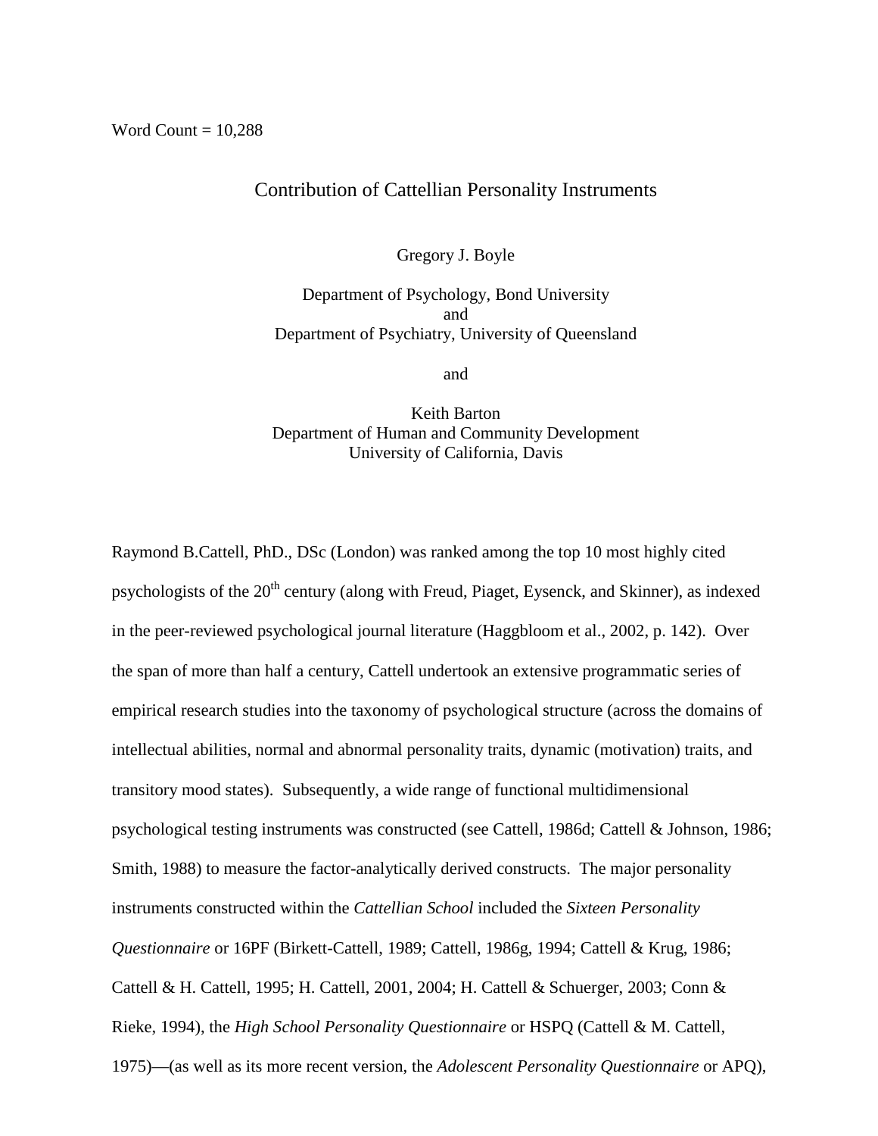# Contribution of Cattellian Personality Instruments

Gregory J. Boyle

Department of Psychology, Bond University and Department of Psychiatry, University of Queensland

and

Keith Barton Department of Human and Community Development University of California, Davis

Raymond B.Cattell, PhD., DSc (London) was ranked among the top 10 most highly cited psychologists of the 20<sup>th</sup> century (along with Freud, Piaget, Eysenck, and Skinner), as indexed in the peer-reviewed psychological journal literature (Haggbloom et al., 2002, p. 142). Over the span of more than half a century, Cattell undertook an extensive programmatic series of empirical research studies into the taxonomy of psychological structure (across the domains of intellectual abilities, normal and abnormal personality traits, dynamic (motivation) traits, and transitory mood states). Subsequently, a wide range of functional multidimensional psychological testing instruments was constructed (see Cattell, 1986d; Cattell & Johnson, 1986; Smith, 1988) to measure the factor-analytically derived constructs. The major personality instruments constructed within the *Cattellian School* included the *Sixteen Personality Questionnaire* or 16PF (Birkett-Cattell, 1989; Cattell, 1986g, 1994; Cattell & Krug, 1986; Cattell & H. Cattell, 1995; H. Cattell, 2001, 2004; H. Cattell & Schuerger, 2003; Conn & Rieke, 1994), the *High School Personality Questionnaire* or HSPQ (Cattell & M. Cattell, 1975)—(as well as its more recent version, the *Adolescent Personality Questionnaire* or APQ),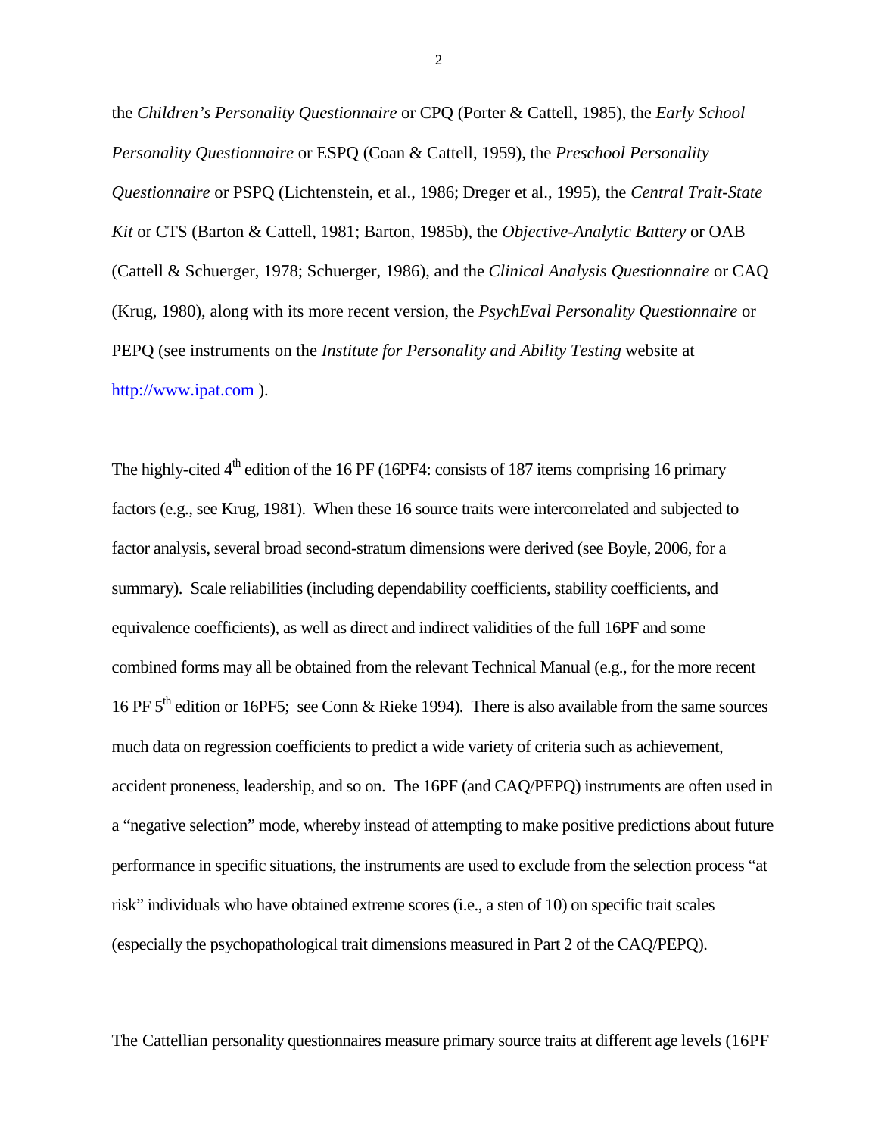the *Children's Personality Questionnaire* or CPQ (Porter & Cattell, 1985), the *Early School Personality Questionnaire* or ESPQ (Coan & Cattell, 1959), the *Preschool Personality Questionnaire* or PSPQ (Lichtenstein, et al., 1986; Dreger et al., 1995), the *Central Trait-State Kit* or CTS (Barton & Cattell, 1981; Barton, 1985b), the *Objective-Analytic Battery* or OAB (Cattell & Schuerger, 1978; Schuerger, 1986), and the *Clinical Analysis Questionnaire* or CAQ (Krug, 1980), along with its more recent version, the *PsychEval Personality Questionnaire* or PEPQ (see instruments on the *Institute for Personality and Ability Testing* website at [http://www.ipat.com](http://www.ipat.com/) ).

The highly-cited  $4<sup>th</sup>$  edition of the 16 PF (16PF4: consists of 187 items comprising 16 primary factors (e.g., see Krug, 1981). When these 16 source traits were intercorrelated and subjected to factor analysis, several broad second-stratum dimensions were derived (see Boyle, 2006, for a summary). Scale reliabilities (including dependability coefficients, stability coefficients, and equivalence coefficients), as well as direct and indirect validities of the full 16PF and some combined forms may all be obtained from the relevant Technical Manual (e.g., for the more recent 16 PF 5th edition or 16PF5; see Conn & Rieke 1994). There is also available from the same sources much data on regression coefficients to predict a wide variety of criteria such as achievement, accident proneness, leadership, and so on. The 16PF (and CAQ/PEPQ) instruments are often used in a "negative selection" mode, whereby instead of attempting to make positive predictions about future performance in specific situations, the instruments are used to exclude from the selection process "at risk" individuals who have obtained extreme scores (i.e., a sten of 10) on specific trait scales (especially the psychopathological trait dimensions measured in Part 2 of the CAQ/PEPQ).

The Cattellian personality questionnaires measure primary source traits at different age levels (16PF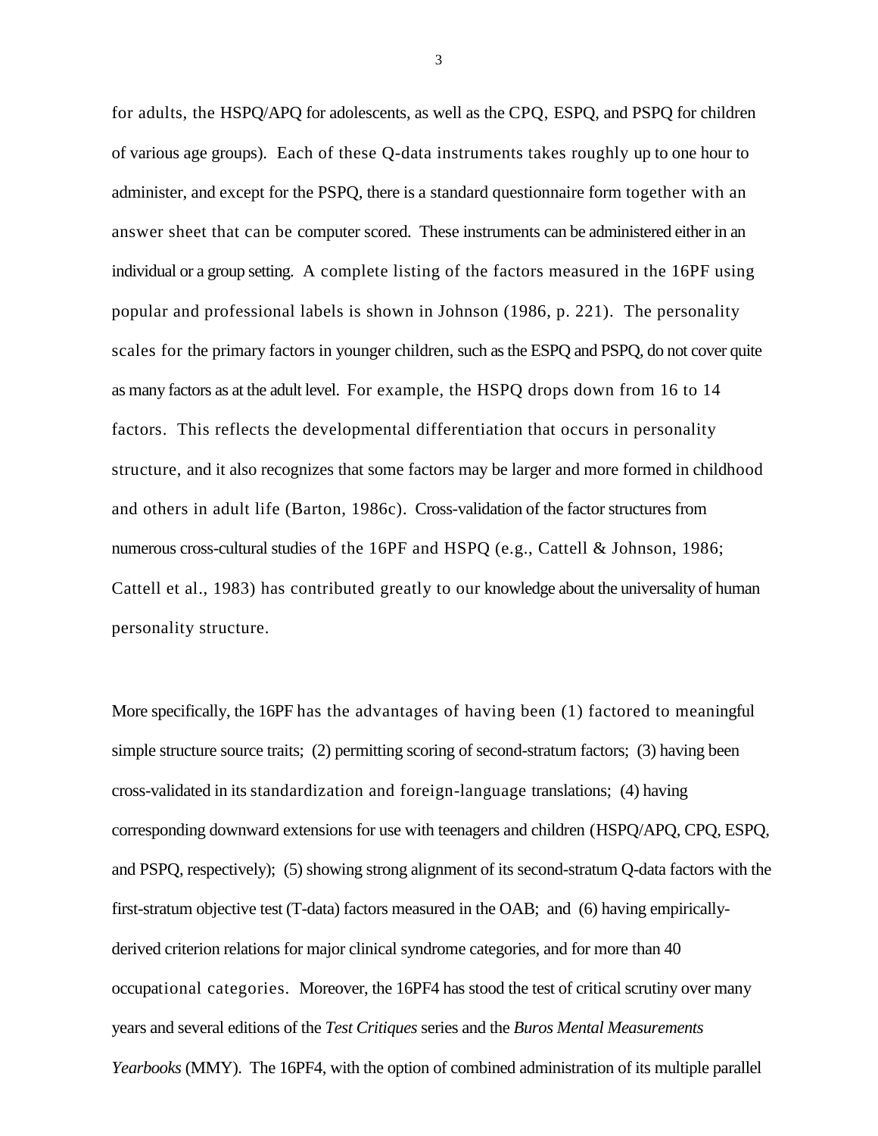for adults, the HSPQ/APQ for adolescents, as well as the CPQ, ESPQ, and PSPQ for children of various age groups). Each of these Q-data instruments takes roughly up to one hour to administer, and except for the PSPQ, there is a standard questionnaire form together with an answer sheet that can be computer scored. These instruments can be administered either in an individual or a group setting. A complete listing of the factors measured in the 16PF using popular and professional labels is shown in Johnson (1986, p. 221). The personality scales for the primary factors in younger children, such as the ESPQ and PSPQ, do not cover quite as many factors as at the adult level. For example, the HSPQ drops down from 16 to 14 factors. This reflects the developmental differentiation that occurs in personality structure, and it also recognizes that some factors may be larger and more formed in childhood and others in adult life (Barton, 1986c). Cross-validation of the factor structures from numerous cross-cultural studies of the 16PF and HSPQ (e.g., Cattell & Johnson, 1986; Cattell et al., 1983) has contributed greatly to our knowledge about the universality of human personality structure.

More specifically, the 16PF has the advantages of having been (1) factored to meaningful simple structure source traits; (2) permitting scoring of second-stratum factors; (3) having been cross-validated in its standardization and foreign-language translations; (4) having corresponding downward extensions for use with teenagers and children (HSPQ/APQ, CPQ, ESPQ, and PSPQ, respectively); (5) showing strong alignment of its second-stratum Q-data factors with the first-stratum objective test (T-data) factors measured in the OAB; and (6) having empiricallyderived criterion relations for major clinical syndrome categories, and for more than 40 occupational categories. Moreover, the 16PF4 has stood the test of critical scrutiny over many years and several editions of the *Test Critiques* series and the *Buros Mental Measurements Yearbooks* (MMY). The 16PF4, with the option of combined administration of its multiple parallel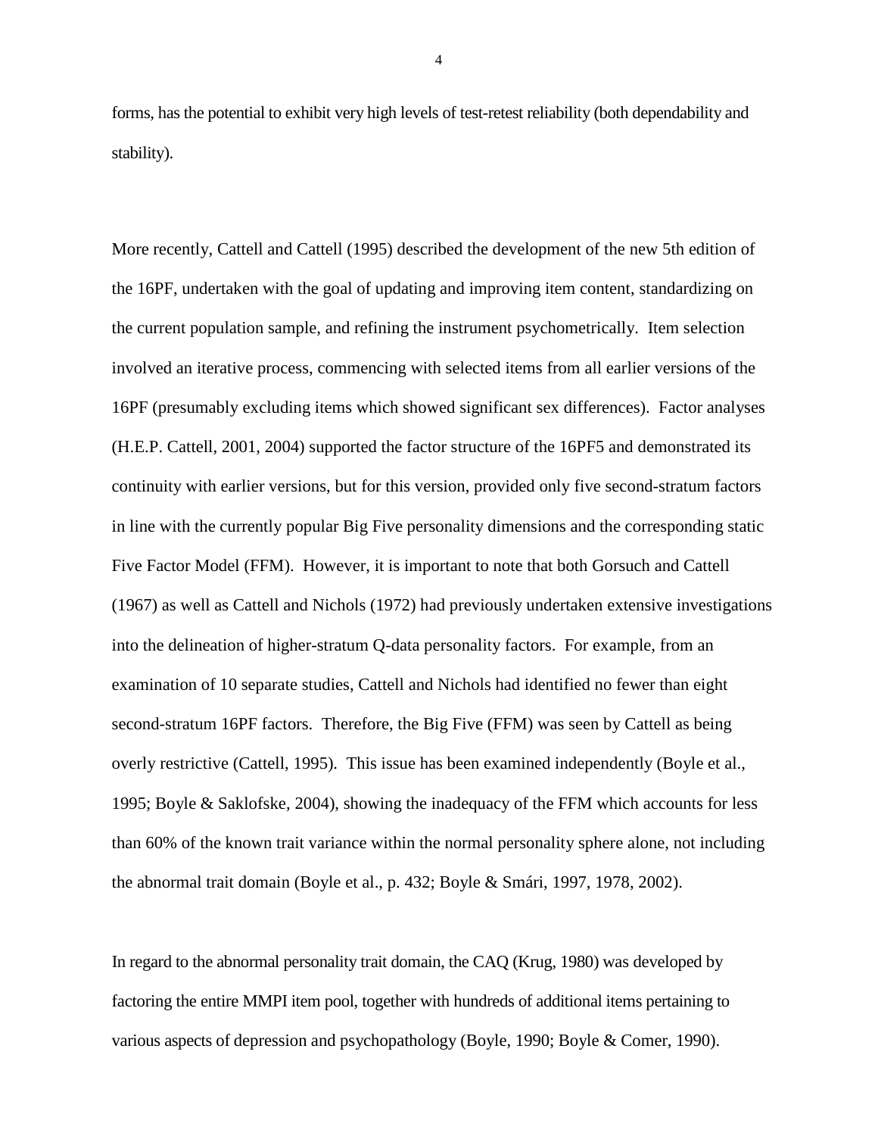forms, has the potential to exhibit very high levels of test-retest reliability (both dependability and stability).

More recently, Cattell and Cattell (1995) described the development of the new 5th edition of the 16PF, undertaken with the goal of updating and improving item content, standardizing on the current population sample, and refining the instrument psychometrically. Item selection involved an iterative process, commencing with selected items from all earlier versions of the 16PF (presumably excluding items which showed significant sex differences). Factor analyses (H.E.P. Cattell, 2001, 2004) supported the factor structure of the 16PF5 and demonstrated its continuity with earlier versions, but for this version, provided only five second-stratum factors in line with the currently popular Big Five personality dimensions and the corresponding static Five Factor Model (FFM). However, it is important to note that both Gorsuch and Cattell (1967) as well as Cattell and Nichols (1972) had previously undertaken extensive investigations into the delineation of higher-stratum Q-data personality factors. For example, from an examination of 10 separate studies, Cattell and Nichols had identified no fewer than eight second-stratum 16PF factors. Therefore, the Big Five (FFM) was seen by Cattell as being overly restrictive (Cattell, 1995). This issue has been examined independently (Boyle et al., 1995; Boyle & Saklofske, 2004), showing the inadequacy of the FFM which accounts for less than 60% of the known trait variance within the normal personality sphere alone, not including the abnormal trait domain (Boyle et al., p. 432; Boyle & Smári, 1997, 1978, 2002).

In regard to the abnormal personality trait domain, the CAQ (Krug, 1980) was developed by factoring the entire MMPI item pool, together with hundreds of additional items pertaining to various aspects of depression and psychopathology (Boyle, 1990; Boyle & Comer, 1990).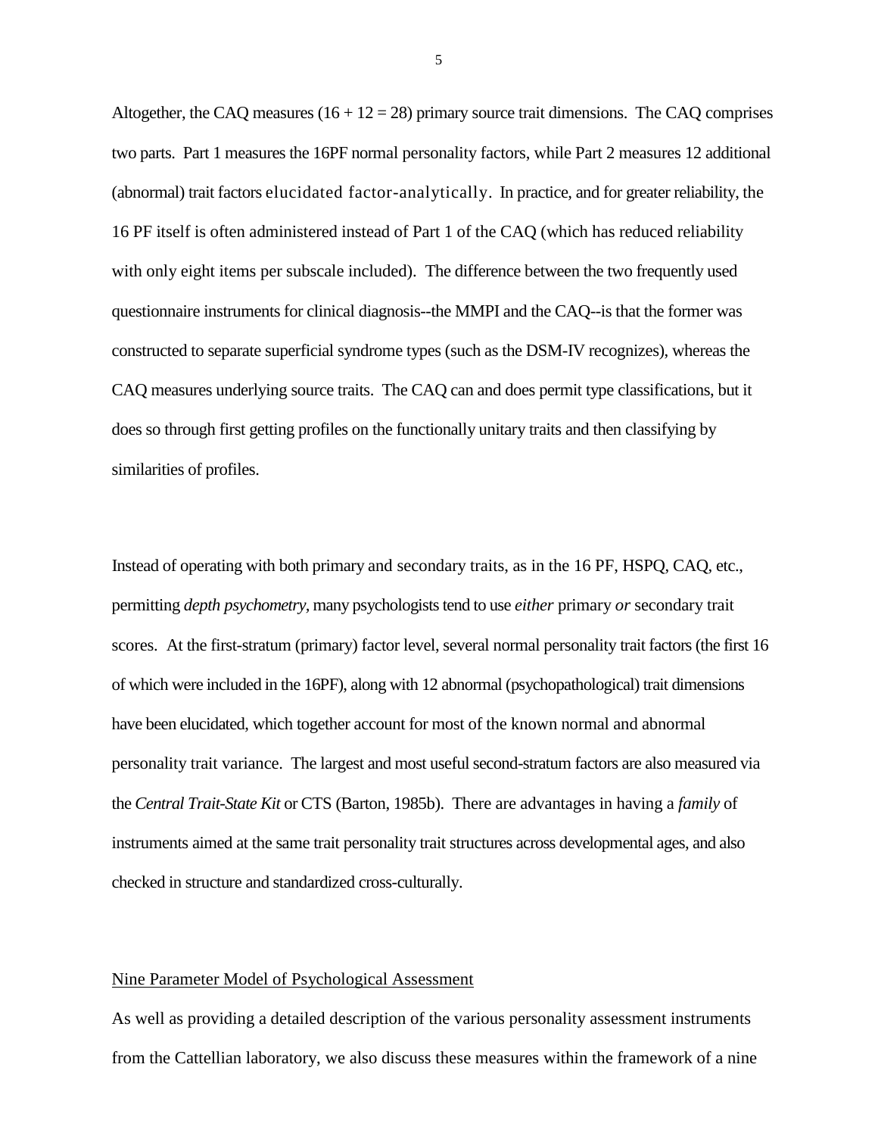Altogether, the CAQ measures  $(16 + 12 = 28)$  primary source trait dimensions. The CAQ comprises two parts. Part 1 measures the 16PF normal personality factors, while Part 2 measures 12 additional (abnormal) trait factors elucidated factor-analytically. In practice, and for greater reliability, the 16 PF itself is often administered instead of Part 1 of the CAQ (which has reduced reliability with only eight items per subscale included). The difference between the two frequently used questionnaire instruments for clinical diagnosis--the MMPI and the CAQ--is that the former was constructed to separate superficial syndrome types (such as the DSM-IV recognizes), whereas the CAQ measures underlying source traits. The CAQ can and does permit type classifications, but it does so through first getting profiles on the functionally unitary traits and then classifying by similarities of profiles.

Instead of operating with both primary and secondary traits, as in the 16 PF, HSPQ, CAQ, etc., permitting *depth psychometry,* many psychologists tend to use *either* primary *or* secondary trait scores. At the first-stratum (primary) factor level, several normal personality trait factors (the first 16 of which were included in the 16PF), along with 12 abnormal (psychopathological) trait dimensions have been elucidated, which together account for most of the known normal and abnormal personality trait variance. The largest and most useful second-stratum factors are also measured via the *Central Trait-State Kit* or CTS (Barton, 1985b). There are advantages in having a *family* of instruments aimed at the same trait personality trait struc tures across developmental ages, and also checked in structure and standardized cross-culturally.

#### Nine Parameter Model of Psychological Assessment

As well as providing a detailed description of the various personality assessment instruments from the Cattellian laboratory, we also discuss these measures within the framework of a nine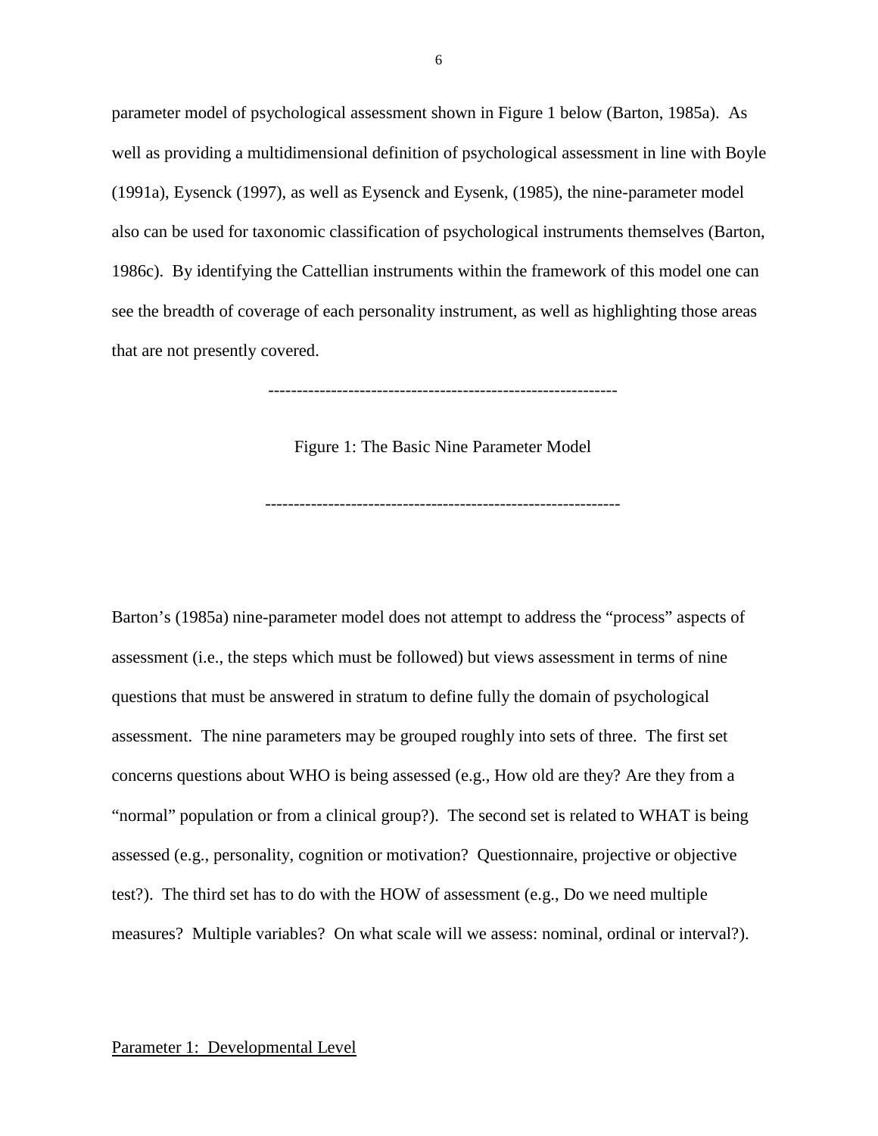parameter model of psychological assessment shown in Figure 1 below (Barton, 1985a). As well as providing a multidimensional definition of psychological assessment in line with Boyle (1991a), Eysenck (1997), as well as Eysenck and Eysenk, (1985), the nine-parameter model also can be used for taxonomic classification of psychological instruments themselves (Barton, 1986c). By identifying the Cattellian instruments within the framework of this model one can see the breadth of coverage of each personality instrument, as well as highlighting those areas that are not presently covered.

-------------------------------------------------------------

Figure 1: The Basic Nine Parameter Model

--------------------------------------------------------------

Barton's (1985a) nine-parameter model does not attempt to address the "process" aspects of assessment (i.e., the steps which must be followed) but views assessment in terms of nine questions that must be answered in stratum to define fully the domain of psychological assessment. The nine parameters may be grouped roughly into sets of three. The first set concerns questions about WHO is being assessed (e.g., How old are they? Are they from a "normal" population or from a clinical group?). The second set is related to WHAT is being assessed (e.g., personality, cognition or motivation? Questionnaire, projective or objective test?). The third set has to do with the HOW of assessment (e.g., Do we need multiple measures? Multiple variables? On what scale will we assess: nominal, ordinal or interval?).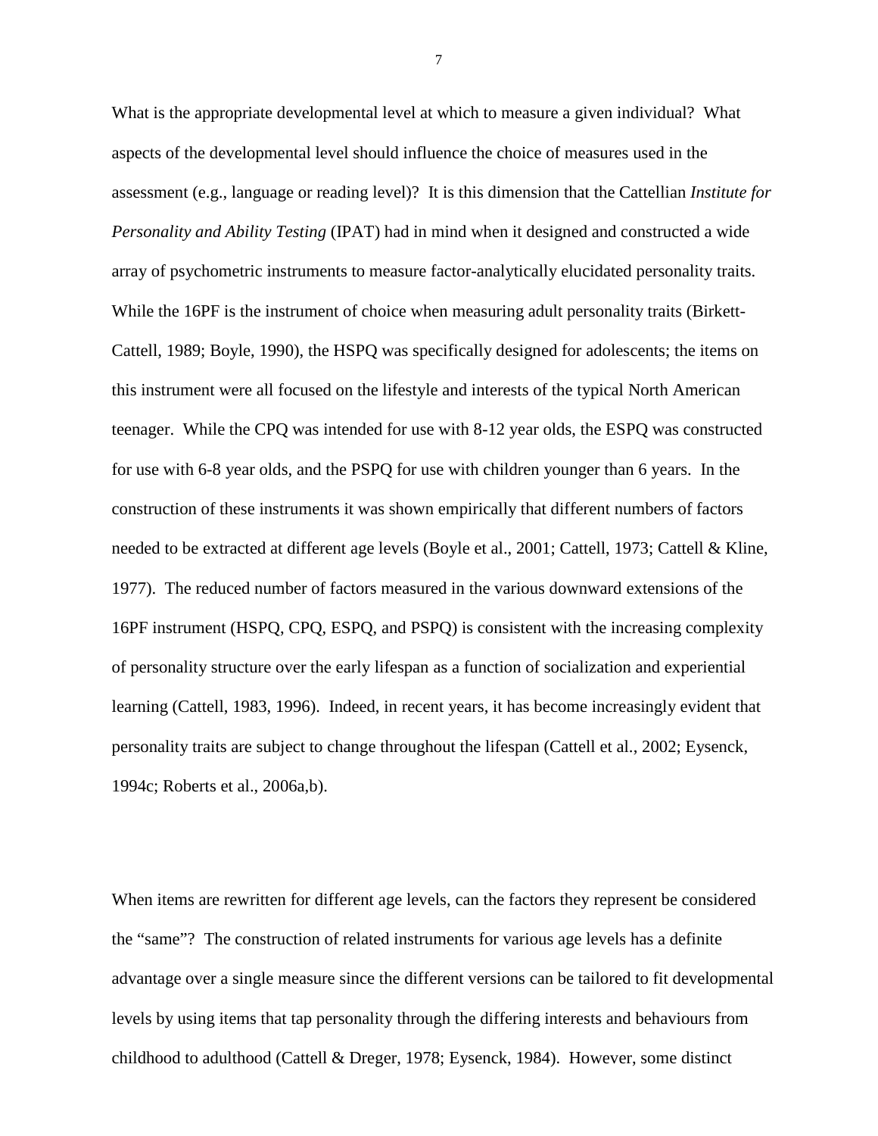What is the appropriate developmental level at which to measure a given individual? What aspects of the developmental level should influence the choice of measures used in the assessment (e.g., language or reading level)? It is this dimension that the Cattellian *Institute for Personality and Ability Testing* (IPAT) had in mind when it designed and constructed a wide array of psychometric instruments to measure factor-analytically elucidated personality traits. While the 16PF is the instrument of choice when measuring adult personality traits (Birkett-Cattell, 1989; Boyle, 1990), the HSPQ was specifically designed for adolescents; the items on this instrument were all focused on the lifestyle and interests of the typical North American teenager. While the CPQ was intended for use with 8-12 year olds, the ESPQ was constructed for use with 6-8 year olds, and the PSPQ for use with children younger than 6 years. In the construction of these instruments it was shown empirically that different numbers of factors needed to be extracted at different age levels (Boyle et al., 2001; Cattell, 1973; Cattell & Kline, 1977). The reduced number of factors measured in the various downward extensions of the 16PF instrument (HSPQ, CPQ, ESPQ, and PSPQ) is consistent with the increasing complexity of personality structure over the early lifespan as a function of socialization and experiential learning (Cattell, 1983, 1996). Indeed, in recent years, it has become increasingly evident that personality traits are subject to change throughout the lifespan (Cattell et al., 2002; Eysenck, 1994c; Roberts et al., 2006a,b).

When items are rewritten for different age levels, can the factors they represent be considered the "same"? The construction of related instruments for various age levels has a definite advantage over a single measure since the different versions can be tailored to fit developmental levels by using items that tap personality through the differing interests and behaviours from childhood to adulthood (Cattell & Dreger, 1978; Eysenck, 1984). However, some distinct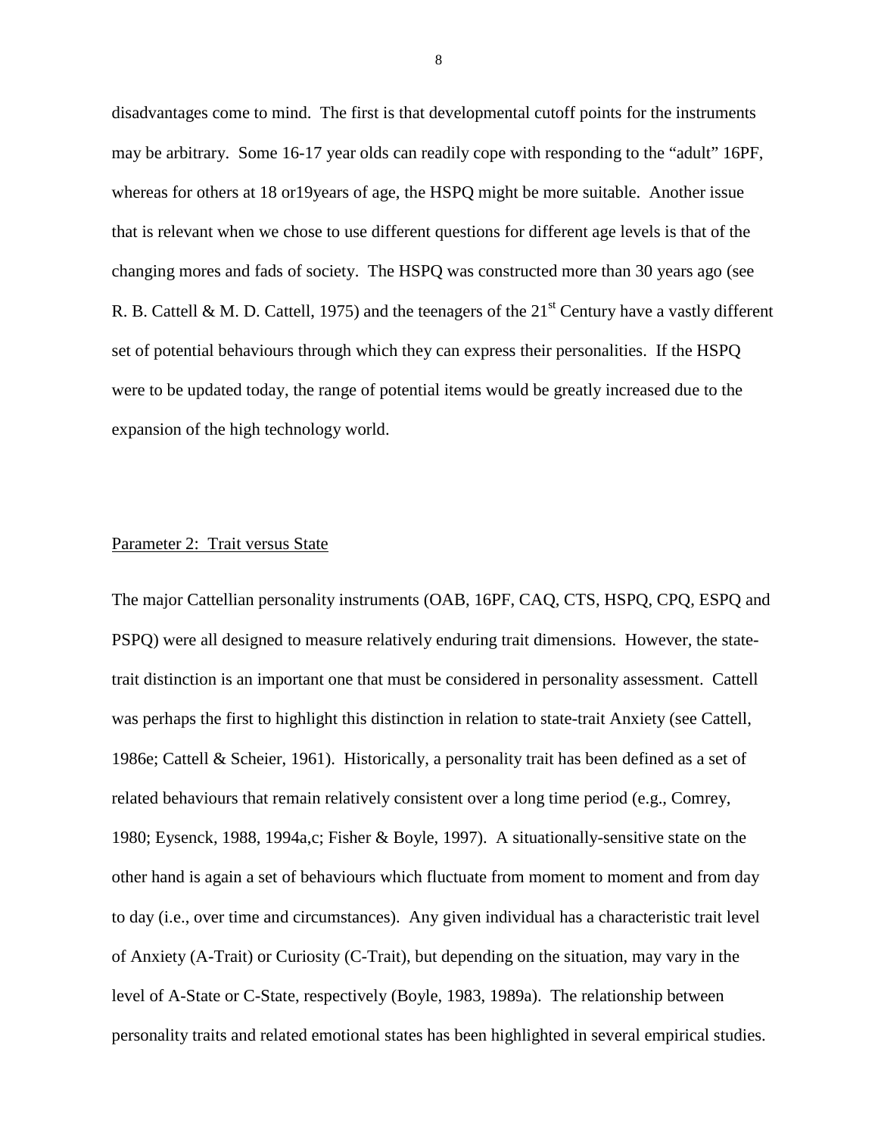disadvantages come to mind. The first is that developmental cutoff points for the instruments may be arbitrary. Some 16-17 year olds can readily cope with responding to the "adult" 16PF, whereas for others at 18 or19years of age, the HSPQ might be more suitable. Another issue that is relevant when we chose to use different questions for different age levels is that of the changing mores and fads of society. The HSPQ was constructed more than 30 years ago (see R. B. Cattell & M. D. Cattell, 1975) and the teenagers of the  $21<sup>st</sup>$  Century have a vastly different set of potential behaviours through which they can express their personalities. If the HSPQ were to be updated today, the range of potential items would be greatly increased due to the expansion of the high technology world.

#### Parameter 2: Trait versus State

The major Cattellian personality instruments (OAB, 16PF, CAQ, CTS, HSPQ, CPQ, ESPQ and PSPQ) were all designed to measure relatively enduring trait dimensions. However, the statetrait distinction is an important one that must be considered in personality assessment. Cattell was perhaps the first to highlight this distinction in relation to state-trait Anxiety (see Cattell, 1986e; Cattell & Scheier, 1961). Historically, a personality trait has been defined as a set of related behaviours that remain relatively consistent over a long time period (e.g., Comrey, 1980; Eysenck, 1988, 1994a,c; Fisher & Boyle, 1997). A situationally-sensitive state on the other hand is again a set of behaviours which fluctuate from moment to moment and from day to day (i.e., over time and circumstances). Any given individual has a characteristic trait level of Anxiety (A-Trait) or Curiosity (C-Trait), but depending on the situation, may vary in the level of A-State or C-State, respectively (Boyle, 1983, 1989a). The relationship between personality traits and related emotional states has been highlighted in several empirical studies.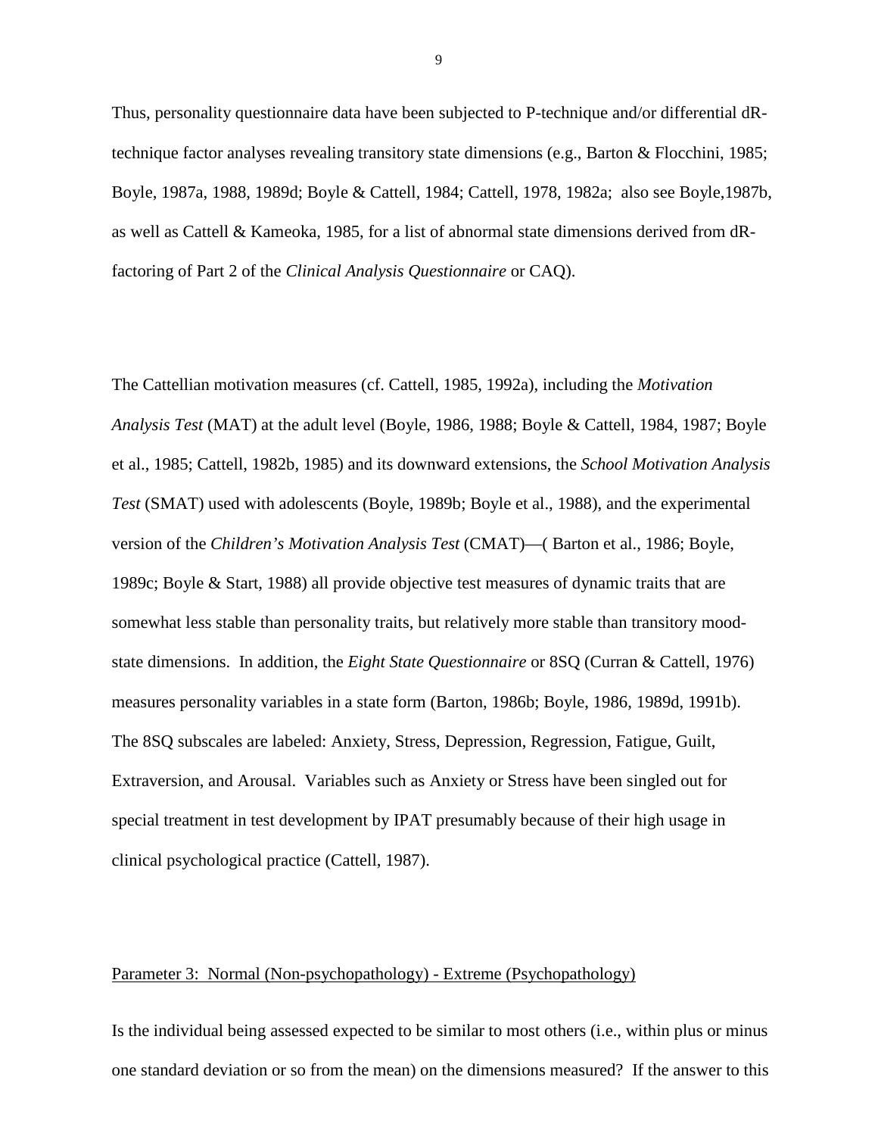Thus, personality questionnaire data have been subjected to P-technique and/or differential dRtechnique factor analyses revealing transitory state dimensions (e.g., Barton & Flocchini, 1985; Boyle, 1987a, 1988, 1989d; Boyle & Cattell, 1984; Cattell, 1978, 1982a; also see Boyle,1987b, as well as Cattell & Kameoka, 1985, for a list of abnormal state dimensions derived from dRfactoring of Part 2 of the *Clinical Analysis Questionnaire* or CAQ).

The Cattellian motivation measures (cf. Cattell, 1985, 1992a), including the *Motivation Analysis Test* (MAT) at the adult level (Boyle, 1986, 1988; Boyle & Cattell, 1984, 1987; Boyle et al., 1985; Cattell, 1982b, 1985) and its downward extensions, the *School Motivation Analysis Test* (SMAT) used with adolescents (Boyle, 1989b; Boyle et al., 1988), and the experimental version of the *Children's Motivation Analysis Test* (CMAT)—( Barton et al., 1986; Boyle, 1989c; Boyle & Start, 1988) all provide objective test measures of dynamic traits that are somewhat less stable than personality traits, but relatively more stable than transitory moodstate dimensions. In addition, the *Eight State Questionnaire* or 8SQ (Curran & Cattell, 1976) measures personality variables in a state form (Barton, 1986b; Boyle, 1986, 1989d, 1991b). The 8SQ subscales are labeled: Anxiety, Stress, Depression, Regression, Fatigue, Guilt, Extraversion, and Arousal. Variables such as Anxiety or Stress have been singled out for special treatment in test development by IPAT presumably because of their high usage in clinical psychological practice (Cattell, 1987).

#### Parameter 3: Normal (Non-psychopathology) - Extreme (Psychopathology)

Is the individual being assessed expected to be similar to most others (i.e., within plus or minus one standard deviation or so from the mean) on the dimensions measured? If the answer to this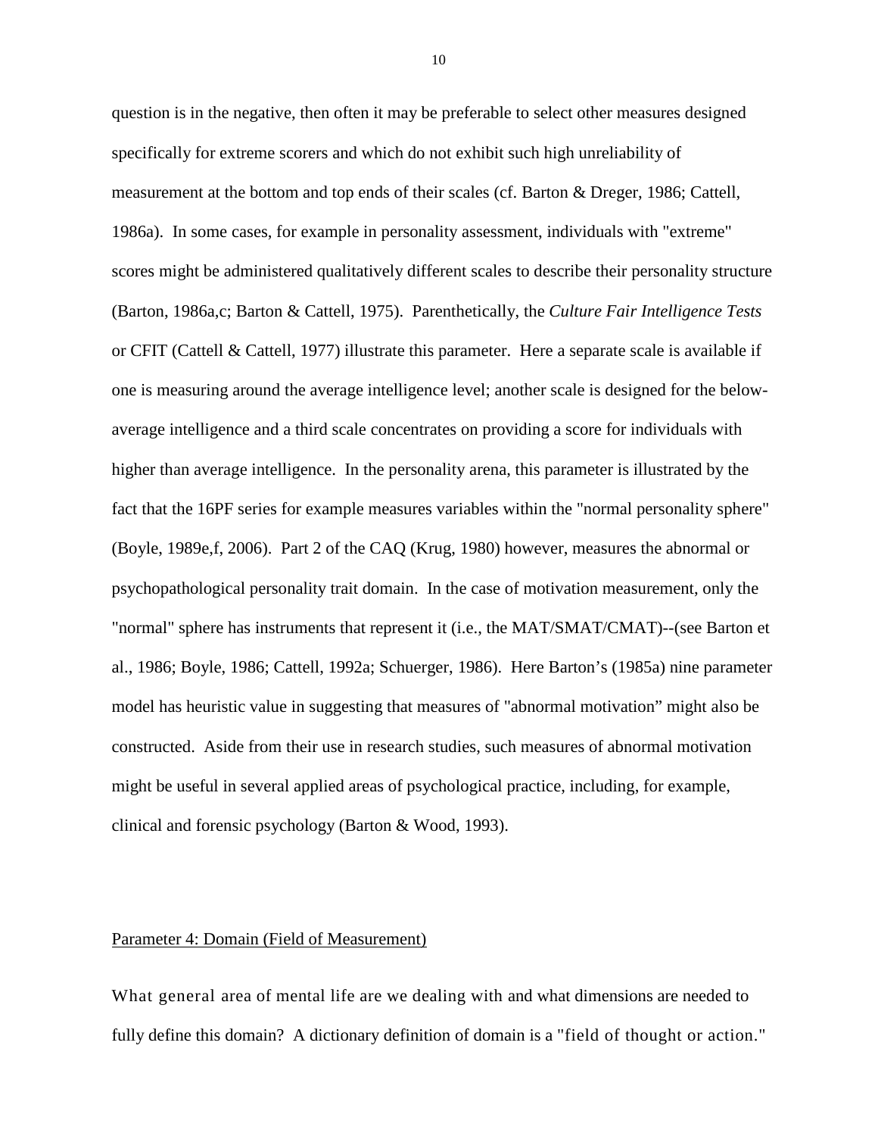question is in the negative, then often it may be preferable to select other measures designed specifically for extreme scorers and which do not exhibit such high unreliability of measurement at the bottom and top ends of their scales (cf. Barton & Dreger, 1986; Cattell, 1986a). In some cases, for example in personality assessment, individuals with "extreme" scores might be administered qualitatively different scales to describe their personality structure (Barton, 1986a,c; Barton & Cattell, 1975). Parenthetically, the *Culture Fair Intelligence Tests* or CFIT (Cattell & Cattell, 1977) illustrate this parameter. Here a separate scale is available if one is measuring around the average intelligence level; another scale is designed for the belowaverage intelligence and a third scale concentrates on providing a score for individuals with higher than average intelligence. In the personality arena, this parameter is illustrated by the fact that the 16PF series for example measures variables within the "normal personality sphere" (Boyle, 1989e,f, 2006). Part 2 of the CAQ (Krug, 1980) however, measures the abnormal or psychopathological personality trait domain. In the case of motivation measurement, only the "normal" sphere has instruments that represent it (i.e., the MAT/SMAT/CMAT)--(see Barton et al., 1986; Boyle, 1986; Cattell, 1992a; Schuerger, 1986). Here Barton's (1985a) nine parameter model has heuristic value in suggesting that measures of "abnormal motivation" might also be constructed. Aside from their use in research studies, such measures of abnormal motivation might be useful in several applied areas of psychological practice, including, for example, clinical and forensic psychology (Barton & Wood, 1993).

#### Parameter 4: Domain (Field of Measurement)

What general area of mental life are we dealing with and what dimensions are needed to fully define this domain? A dictionary definition of domain is a "field of thought or action."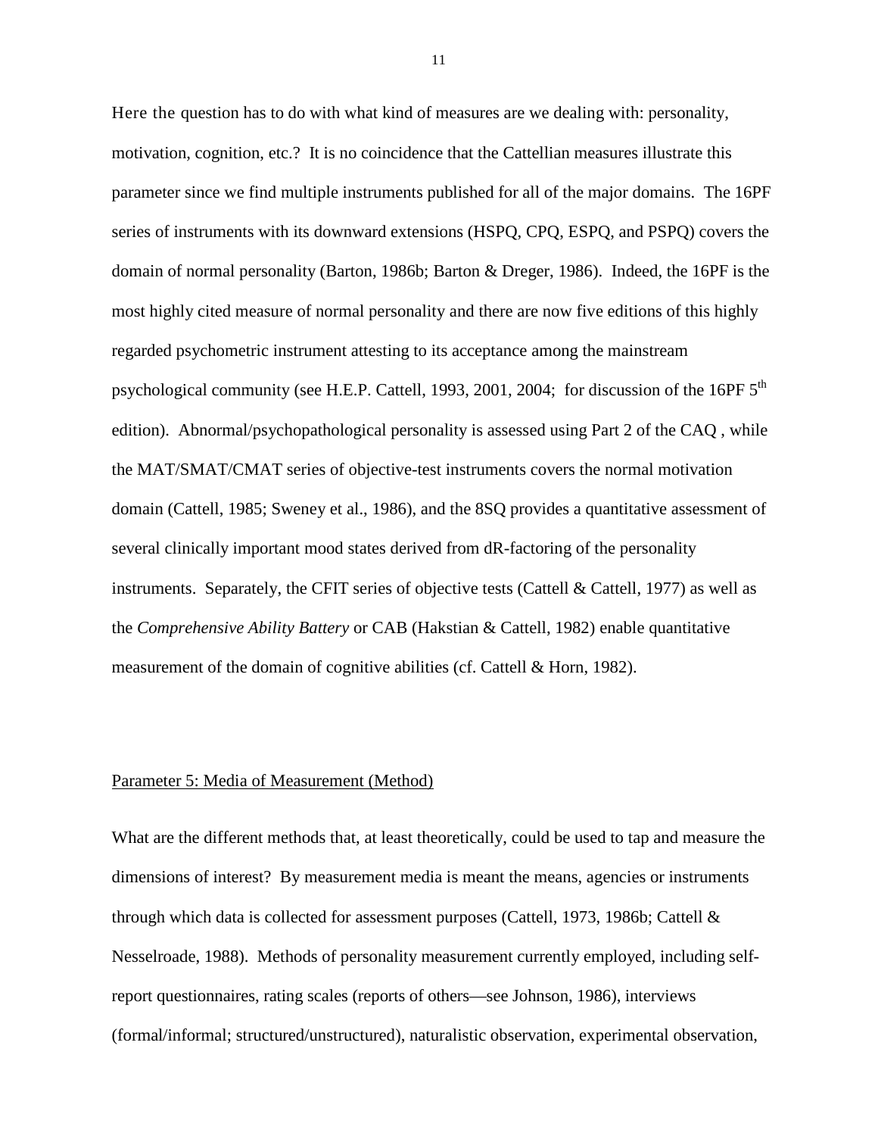Here the question has to do with what kind of measures are we dealing with: personality, motivation, cognition, etc.? It is no coincidence that the Cattellian measures illustrate this parameter since we find multiple instruments published for all of the major domains. The 16PF series of instruments with its downward extensions (HSPQ, CPQ, ESPQ, and PSPQ) covers the domain of normal personality (Barton, 1986b; Barton & Dreger, 1986). Indeed, the 16PF is the most highly cited measure of normal personality and there are now five editions of this highly regarded psychometric instrument attesting to its acceptance among the mainstream psychological community (see H.E.P. Cattell, 1993, 2001, 2004; for discussion of the 16PF 5<sup>th</sup> edition). Abnormal/psychopathological personality is assessed using Part 2 of the CAQ , while the MAT/SMAT/CMAT series of objective-test instruments covers the normal motivation domain (Cattell, 1985; Sweney et al., 1986), and the 8SQ provides a quantitative assessment of several clinically important mood states derived from dR-factoring of the personality instruments. Separately, the CFIT series of objective tests (Cattell & Cattell, 1977) as well as the *Comprehensive Ability Battery* or CAB (Hakstian & Cattell, 1982) enable quantitative measurement of the domain of cognitive abilities (cf. Cattell & Horn, 1982).

#### Parameter 5: Media of Measurement (Method)

What are the different methods that, at least theoretically, could be used to tap and measure the dimensions of interest? By measurement media is meant the means, agencies or instruments through which data is collected for assessment purposes (Cattell, 1973, 1986b; Cattell & Nesselroade, 1988). Methods of personality measurement currently employed, including selfreport questionnaires, rating scales (reports of others—see Johnson, 1986), interviews (formal/informal; structured/unstructured), naturalistic observation, experimental observation,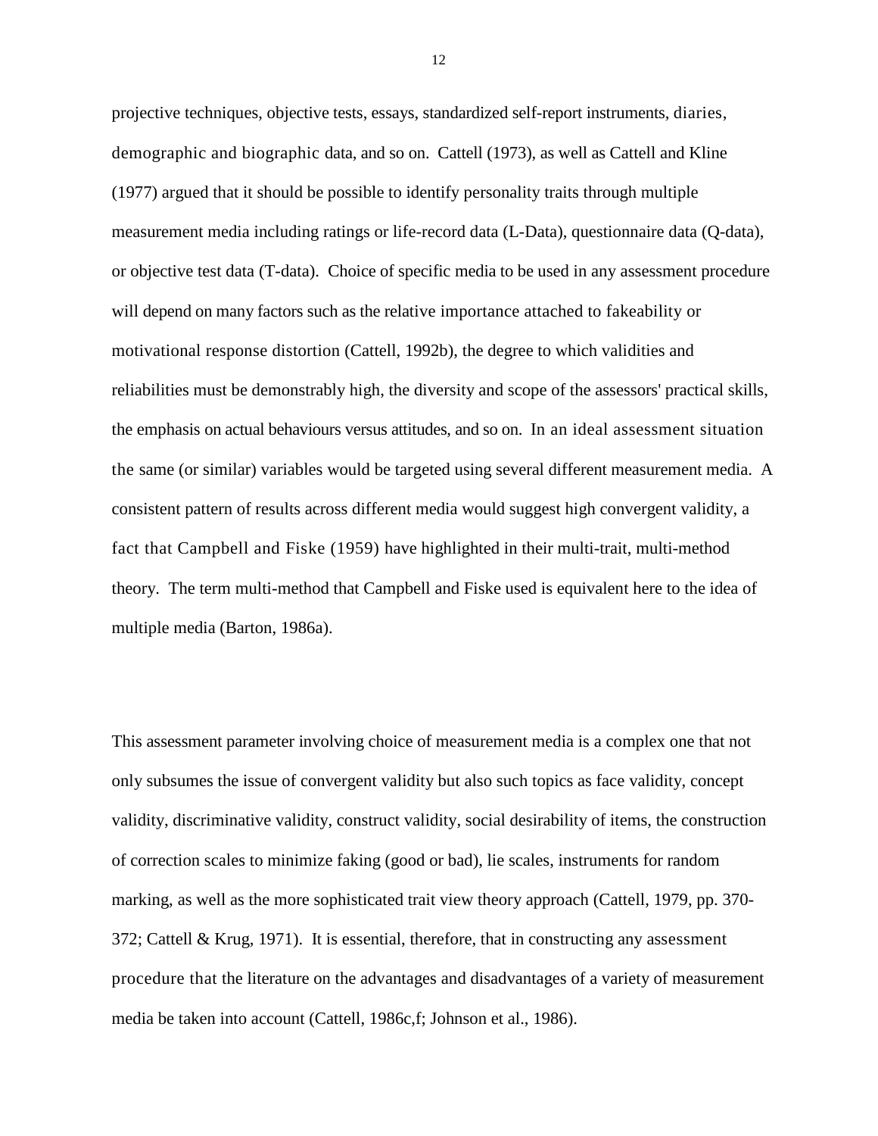projective techniques, objective tests, essays, standardized self-report instruments, diaries, demographic and biographic data, and so on. Cattell (1973), as well as Cattell and Kline (1977) argued that it should be possible to identify personality traits through multiple measurement media including ratings or life-record data (L-Data), questionnaire data (Q-data), or objective test data (T-data). Choice of specific media to be used in any assessment procedure will depend on many factors such as the relative importance attached to fakeability or motivational response distortion (Cattell, 1992b), the degree to which validities and reliabilities must be demonstrably high, the diversity and scope of the assessors' practical skills, the emphasis on actual behaviours versus attitudes, and so on. In an ideal assessment situation the same (or similar) variables would be targeted using several different measurement media. A consistent pattern of results across different media would suggest high convergent validity, a fact that Campbell and Fiske (1959) have highlighted in their multi-trait, multi-method theory. The term multi-method that Campbell and Fiske used is equivalent here to the idea of multiple media (Barton, 1986a).

This assessment parameter involving choice of measurement media is a complex one that not only subsumes the issue of convergent validity but also such topics as face validity, concept validity, discriminative validity, construct validity, social desirability of items, the construction of correction scales to minimize faking (good or bad), lie scales, instruments for random marking, as well as the more sophisticated trait view theory approach (Cattell, 1979, pp. 370- 372; Cattell & Krug, 1971). It is essential, therefore, that in constructing any assessment procedure that the literature on the advantages and disadvantages of a variety of measurement media be taken into account (Cattell, 1986c,f; Johnson et al., 1986).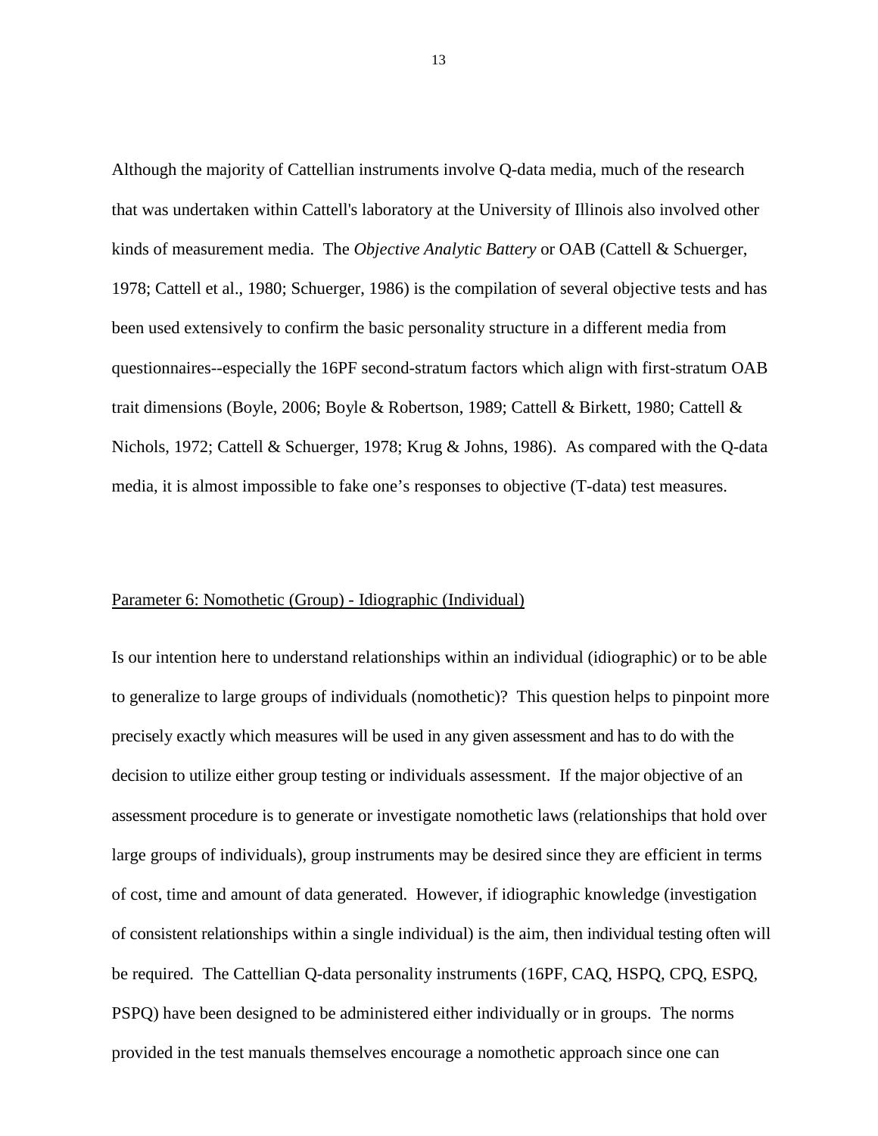Although the majority of Cattellian instruments involve Q-data media, much of the research that was undertaken within Cattell's laboratory at the University of Illinois also involved other kinds of measurement media. The *Objective Analytic Battery* or OAB (Cattell & Schuerger, 1978; Cattell et al., 1980; Schuerger, 1986) is the compilation of several objective tests and has been used extensively to confirm the basic personality structure in a different media from questionnaires--especially the 16PF second-stratum factors which align with first-stratum OAB trait dimensions (Boyle, 2006; Boyle & Robertson, 1989; Cattell & Birkett, 1980; Cattell & Nichols, 1972; Cattell & Schuerger, 1978; Krug & Johns, 1986). As compared with the Q-data media, it is almost impossible to fake one's responses to objective (T-data) test measures.

#### Parameter 6: Nomothetic (Group) - Idiographic (Individual)

Is our intention here to understand relationships within an individual (idiographic) or to be able to generalize to large groups of individuals (nomothetic)? This question helps to pinpoint more precisely exactly which measures will be used in any given assessment and has to do with the decision to utilize either group testing or individuals assessment. If the major objective of an assessment procedure is to generate or investigate nomothetic laws (relationships that hold over large groups of individuals), group instruments may be desired since they are efficient in terms of cost, time and amount of data generated. However, if idiographic knowledge (investigation of consistent relationships within a single individual) is the aim, then individual testing often will be required. The Cattellian Q-data personality instruments (16PF, CAQ, HSPQ, CPQ, ESPQ, PSPQ) have been designed to be administered either individually or in groups. The norms provided in the test manuals themselves encourage a nomothetic approach since one can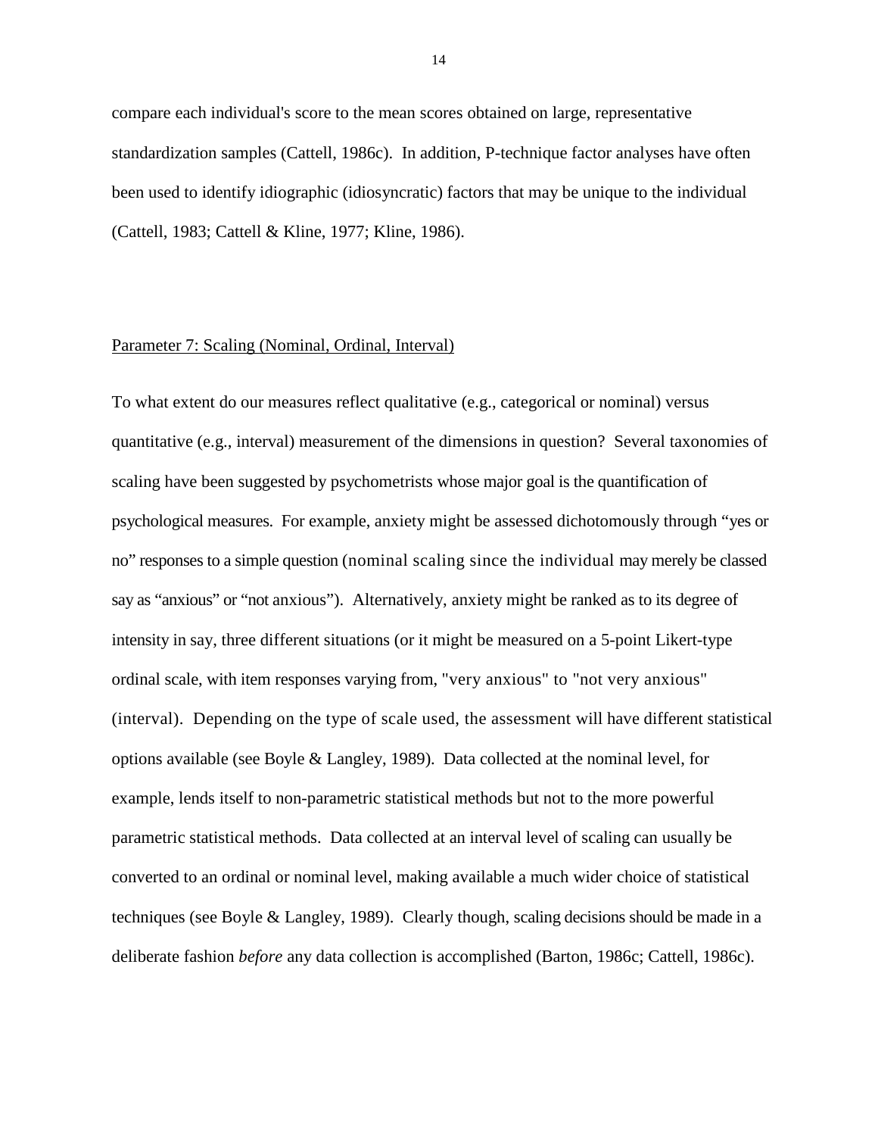compare each individual's score to the mean scores obtained on large, representative standardization samples (Cattell, 1986c). In addition, P-technique factor analyses have often been used to identify idiographic (idiosyncratic) factors that may be unique to the individual (Cattell, 1983; Cattell & Kline, 1977; Kline, 1986).

#### Parameter 7: Scaling (Nominal, Ordinal, Interval)

To what extent do our measures reflect qualitative (e.g., categorical or nominal) versus quantitative (e.g., interval) measurement of the dimensions in question? Several taxonomies of scaling have been suggested by psychometrists whose major goal is the quantification of psychological measures. For example, anxiety might be assessed dichotomously through "yes or no" responses to a simple question (nominal scaling since the individual may merely be classed say as "anxious" or "not anxious"). Alternatively, anxiety might be ranked as to its degree of intensity in say, three different situations (or it might be measured on a 5-point Likert-type ordinal scale, with item responses varying from, "very anxious" to "not very anxious" (interval). Depending on the type of scale used, the assessment will have different statistical options available (see Boyle & Langley, 1989). Data collected at the nominal level, for example, lends itself to non-parametric statistical methods but not to the more powerful parametric statistical methods. Data collected at an interval level of scaling can usually be converted to an ordinal or nominal level, making available a much wider choice of statistical techniques (see Boyle & Langley, 1989). Clearly though, scaling decisions should be made in a deliberate fashion *before* any data collection is accomplished (Barton, 1986c; Cattell, 1986c).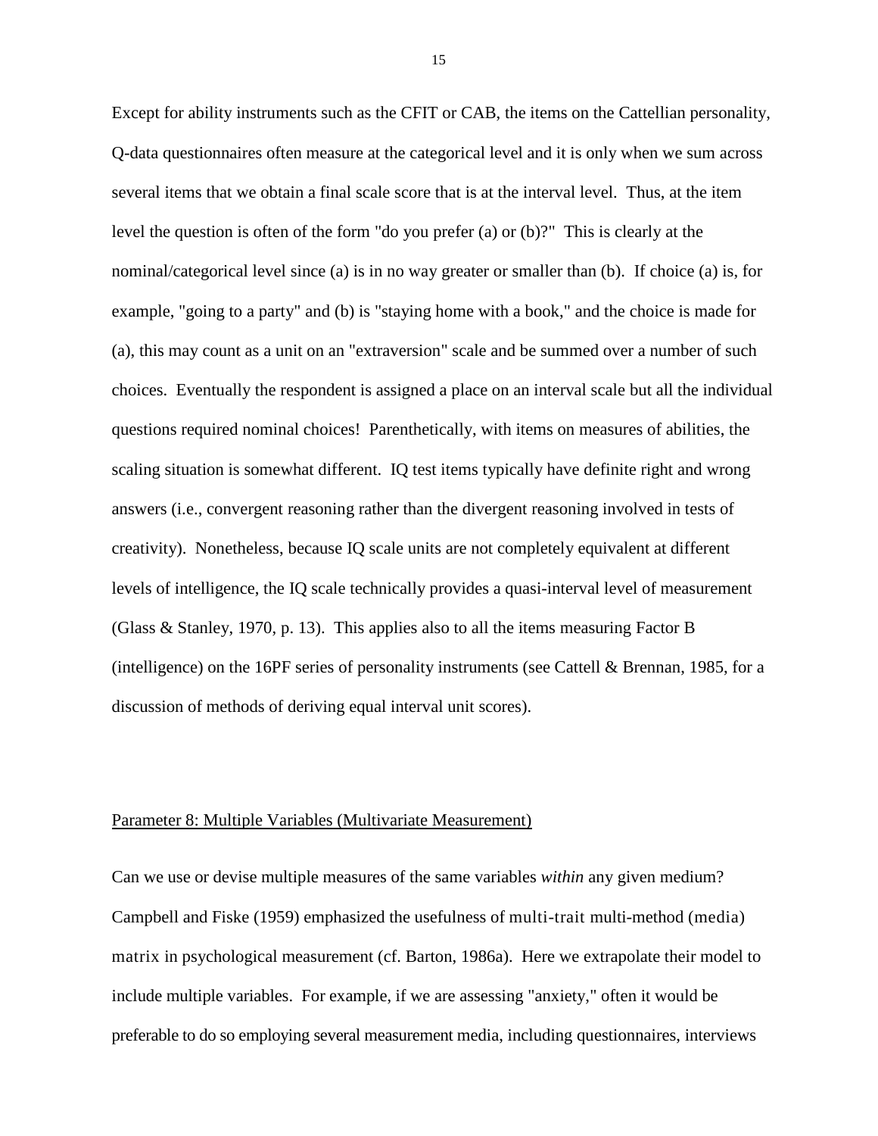Except for ability instruments such as the CFIT or CAB, the items on the Cattellian personality, Q-data questionnaires often measure at the categorical level and it is only when we sum across several items that we obtain a final scale score that is at the interval level. Thus, at the item level the question is often of the form "do you prefer (a) or (b)?" This is clearly at the nominal/categorical level since (a) is in no way greater or smaller than (b). If choice (a) is, for example, "going to a party" and (b) is "staying home with a book," and the choice is made for (a), this may count as a unit on an "extraversion" scale and be summed over a number of such choices. Eventually the respondent is assigned a place on an interval scale but all the individual questions required nominal choices! Parenthetically, with items on measures of abilities, the scaling situation is somewhat different. IQ test items typically have definite right and wrong answers (i.e., convergent reasoning rather than the divergent reasoning involved in tests of creativity). Nonetheless, because IQ scale units are not completely equivalent at different levels of intelligence, the IQ scale technically provides a quasi-interval level of measurement (Glass & Stanley, 1970, p. 13). This applies also to all the items measuring Factor B (intelligence) on the 16PF series of personality instruments (see Cattell & Brennan, 1985, for a discussion of methods of deriving equal interval unit scores).

#### Parameter 8: Multiple Variables (Multivariate Measurement)

Can we use or devise multiple measures of the same variables *within* any given medium? Campbell and Fiske (1959) emphasized the usefulness of multi-trait multi-method (media) matrix in psychological measurement (cf. Barton, 1986a). Here we extrapolate their model to include multiple variables. For example, if we are assessing "anxiety," often it would be preferable to do so employing several measurement media, including questionnaires, interviews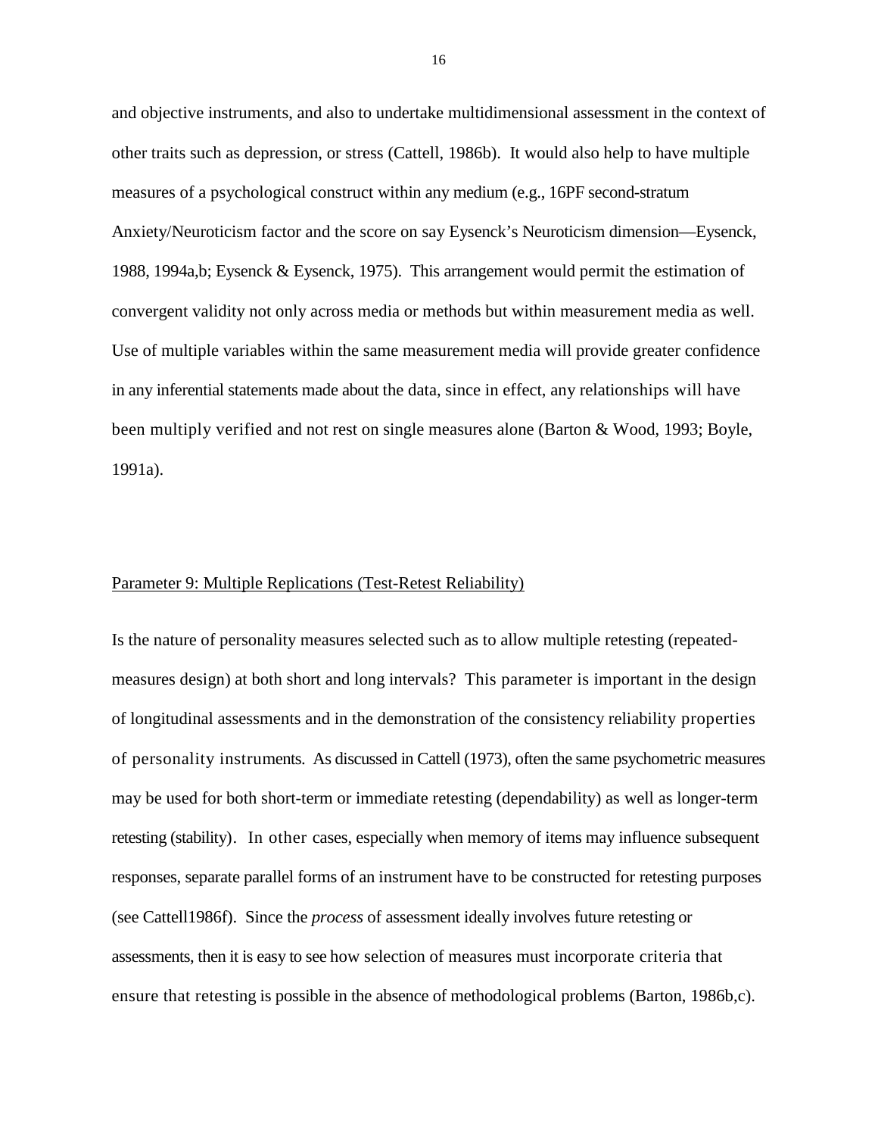and objective instruments, and also to undertake multidimensional assessment in the context of other traits such as depression, or stress (Cattell, 1986b). It would also help to have multiple measures of a psychological construct within any medium (e.g., 16PF second-stratum Anxiety/Neuroticism factor and the score on say Eysenck's Neuroticism dimension—Eysenck, 1988, 1994a,b; Eysenck & Eysenck, 1975). This arrangement would permit the estimation of convergent validity not only across media or methods but within measurement media as well. Use of multiple variables within the same measurement media will provide greater confidence in any inferential statements made about the data, since in effect, any relationships will have been multiply verified and not rest on single measures alone (Barton & Wood, 1993; Boyle, 1991a).

#### Parameter 9: Multiple Replications (Test-Retest Reliability)

Is the nature of personality measures selected such as to allow multiple retesting (repeatedmeasures design) at both short and long intervals? This parameter is important in the design of longitudinal assessments and in the demonstration of the consistency reliability properties of personality instruments. As discussed in Cattell (1973), often the same psychometric measures may be used for both short-term or immediate retesting (dependability) as well as longer-term retesting (stability). In other cases, especially when memory of items may influence subsequent responses, separate parallel forms of an instrument have to be constructed for retesting purposes (see Cattell1986f). Since the *process* of assessment ideally involves future retesting or assessments, then it is easy to see how selection of measures must incorporate criteria that ensure that retesting is possible in the absence of methodological problems (Barton, 1986b,c).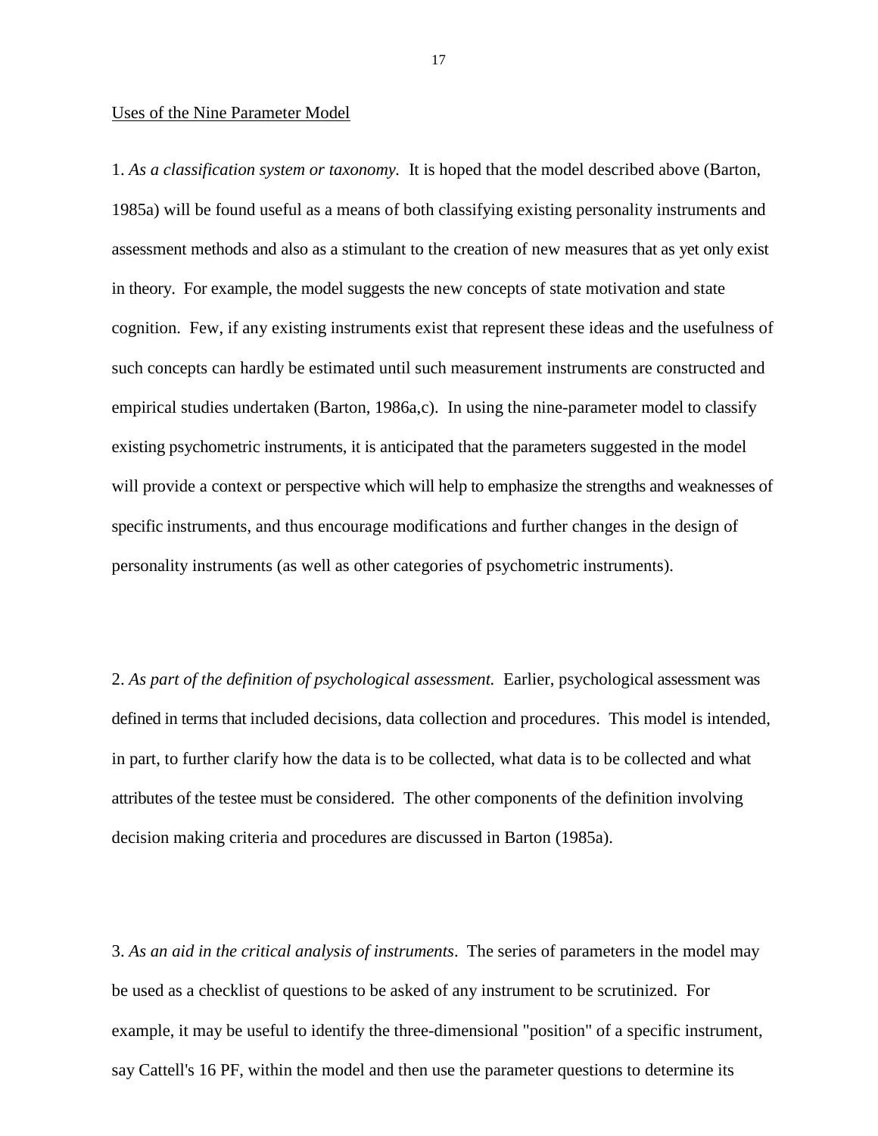#### Uses of the Nine Parameter Model

1. *As a classification system or taxonomy.* It is hoped that the model described above (Barton, 1985a) will be found useful as a means of both classifying existing personality instruments and assessment methods and also as a stimulant to the creation of new measures that as yet only exist in theory. For example, the model suggests the new concepts of state motivation and state cognition. Few, if any existing instruments exist that represent these ideas and the usefulness of such concepts can hardly be estimated until such measurement instruments are constructed and empirical studies undertaken (Barton, 1986a,c). In using the nine-parameter model to classify existing psychometric instruments, it is anticipated that the parameters suggested in the model will provide a context or perspective which will help to emphasize the strengths and weaknesses of specific instruments, and thus encourage modifications and further changes in the design of personality instruments (as well as other categories of psychometric instruments).

2. *As part of the definition of psychological assessment.* Earlier, psychological assessment was defined in terms that included decisions, data collection and procedures. This model is intended, in part, to further clarify how the data is to be collected, what data is to be collected and what attributes of the testee must be considered. The other components of the definition involving decision making criteria and procedures are discussed in Barton (1985a).

3. *As an aid in the critical analysis of instruments*. The series of parameters in the model may be used as a checklist of questions to be asked of any instrument to be scrutinized. For example, it may be useful to identify the three-dimensional "position" of a specific instrument, say Cattell's 16 PF, within the model and then use the parameter questions to determine its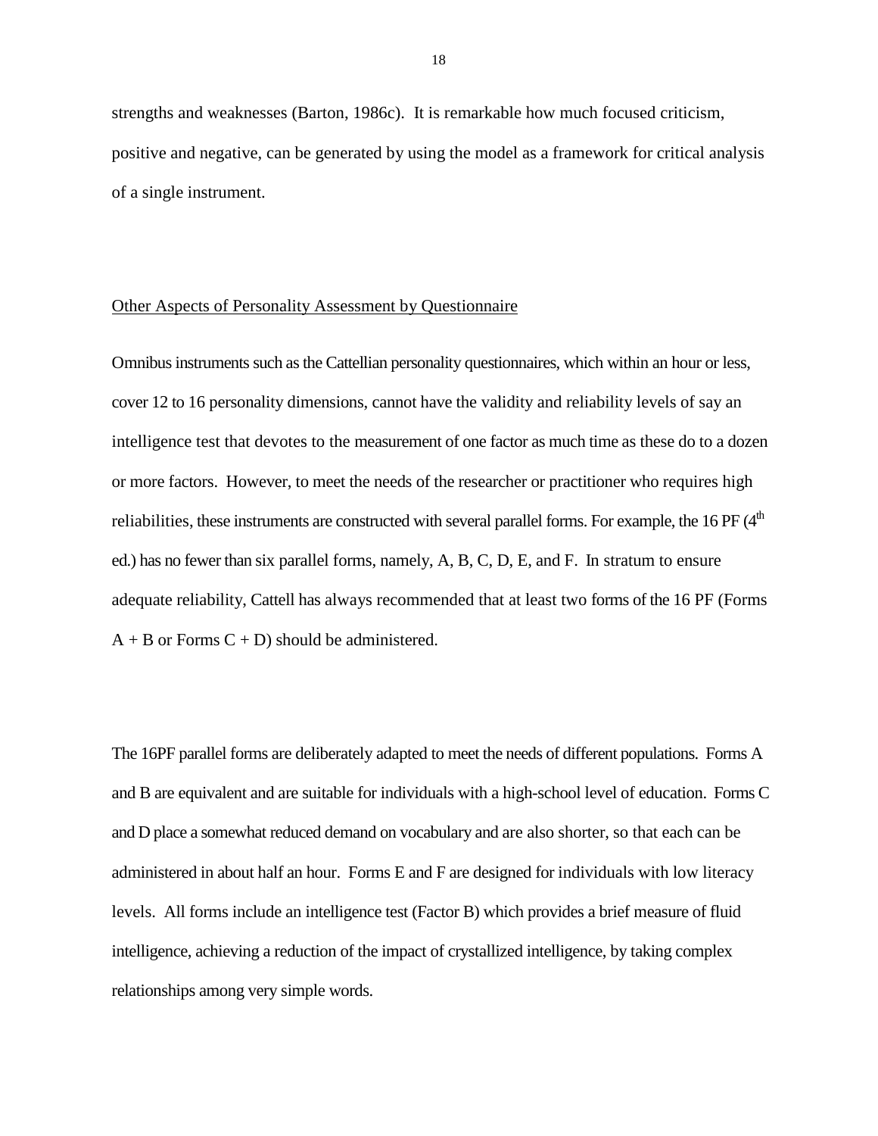strengths and weaknesses (Barton, 1986c). It is remarkable how much focused criticism, positive and negative, can be generated by using the model as a framework for critical analysis of a single instrument.

#### Other Aspects of Personality Assessment by Questionnaire

Omnibus instruments such as the Cattellian personality questionnaires, which within an hour or less, cover 12 to 16 personality dimensions, cannot have the validity and reliability levels of say an intelligence test that devotes to the measurement of one factor as much time as these do to a dozen or more factors. However, to meet the needs of the researcher or practitioner who requires high reliabilities, these instruments are constructed with several parallel forms. For example, the 16 PF (4<sup>th</sup>) ed.) has no fewer than six parallel forms, namely, A, B, C, D, E, and F. In stratum to ensure adequate reliability, Cattell has always recommended that at least two forms of the 16 PF (Forms  $A + B$  or Forms  $C + D$ ) should be administered.

The 16PF parallel forms are deliberately adapted to meet the needs of different populations. Forms A and B are equivalent and are suitable for individuals with a high-school level of education. Forms C and D place a somewhat reduced demand on vocabulary and are also shorter, so that each can be administered in about half an hour. Forms E and F are designed for individuals with low literacy levels. All forms include an intelligence test (Factor B) which provides a brief measure of fluid intelligence, achieving a reduction of the impact of crystallized intelligence, by taking complex relationships among very simple words.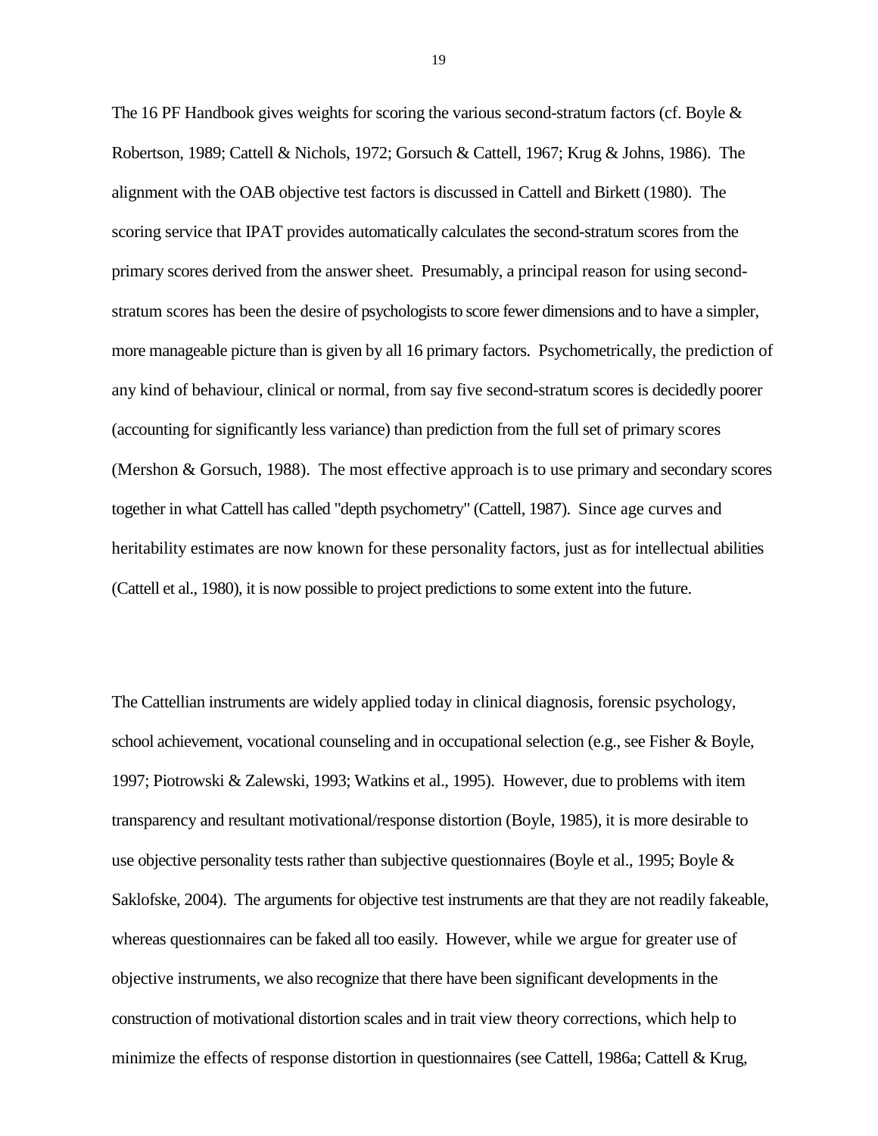The 16 PF Handbook gives weights for scoring the various second-stratum factors (cf. Boyle  $\&$ Robertson, 1989; Cattell & Nichols, 1972; Gorsuch & Cattell, 1967; Krug & Johns, 1986). The alignment with the OAB objective test factors is discussed in Cattell and Birkett (1980). The scoring service that IPAT provides automatically calculates the second-stratum scores from the primary scores derived from the answer sheet. Presumably, a principal reason for using secondstratum scores has been the desire of psychologists to score fewer dimensions and to have a simpler, more manageable picture than is given by all 16 primary factors. Psychometrically, the prediction of any kind of behaviour, clinical or normal, from say five second-stratum scores is decidedly poorer (accounting for significantly less variance) than prediction from the full set of primary scores (Mershon & Gorsuch, 1988). The most effective approach is to use primary and secondary scores together in what Cattell has called "depth psychometry" (Cattell, 1987). Since age curves and heritability estimates are now known for these personality factors, just as for intellectual abilities (Cattell et al., 1980), it is now possible to project predictions to some extent into the future.

The Cattellian instruments are widely applied today in clinical diagnosis, forensic psychology, school achievement, vocational counseling and in occupational selection (e.g., see Fisher & Boyle, 1997; Piotrowski & Zalewski, 1993; Watkins et al., 1995). However, due to problems with item transparency and resultant motivational/response distortion (Boyle, 1985), it is more desirable to use objective personality tests rather than subjective questionnaires (Boyle et al., 1995; Boyle  $\&$ Saklofske, 2004). The arguments for objective test instruments are that they are not readily fakeable, whereas questionnaires can be faked all too easily. However, while we argue for greater use of objective instruments, we also recognize that there have been significant developments in the construction of motivational distortion scales and in trait view theory corrections, which help to minimize the effects of response distortion in questionnaires (see Cattell, 1986a; Cattell & Krug,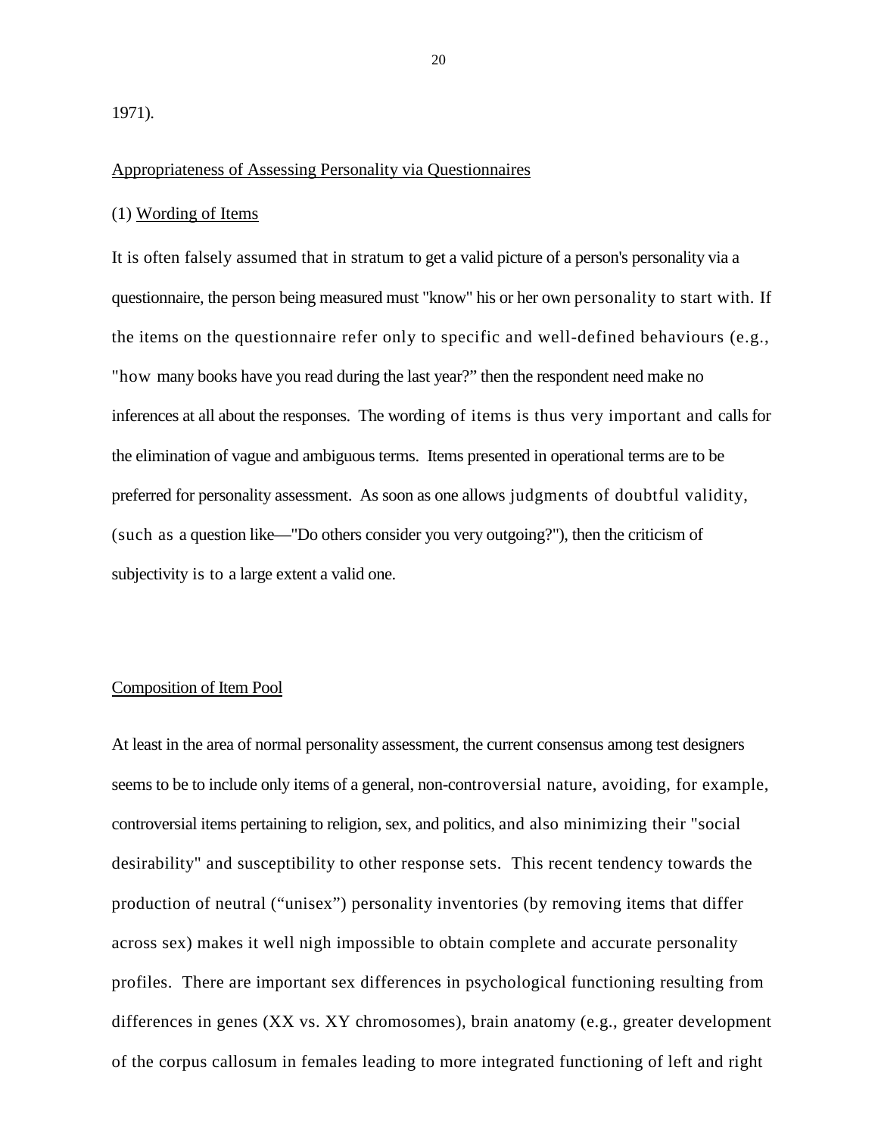#### Appropriateness of Assessing Personality via Questionnaires

#### (1) Wording of Items

It is often falsely assumed that in stratum to get a valid picture of a person's personality via a questionnaire, the person being measured must "know" his or her own personality to start with. If the items on the questionnaire refer only to specific and well-defined behaviours (e.g., "how many books have you read during the last year?" then the respondent need make no inferences at all about the responses. The wording of items is thus very important and calls for the elimination of vague and ambiguous terms. Items presented in operational terms are to be preferred for personality assessment. As soon as one allows judgments of doubtful validity, (such as a question like—"Do others consider you very outgoing?"), then the criticism of subjectivity is to a large extent a valid one.

#### Composition of Item Pool

At least in the area of normal personality assessment, the current consensus among test designers seems to be to include only items of a general, non-controversial nature, avoiding, for example, controversial items pertaining to religion, sex, and politics, and also minimizing their "social desirability" and susceptibility to other response sets. This recent tendency towards the production of neutral ("unisex") personality inventories (by removing items that differ across sex) makes it well nigh impossible to obtain complete and accurate personality profiles. There are important sex differences in psychological functioning resulting from differences in genes (XX vs. XY chromosomes), brain anatomy (e.g., greater development of the corpus callosum in females leading to more integrated functioning of left and right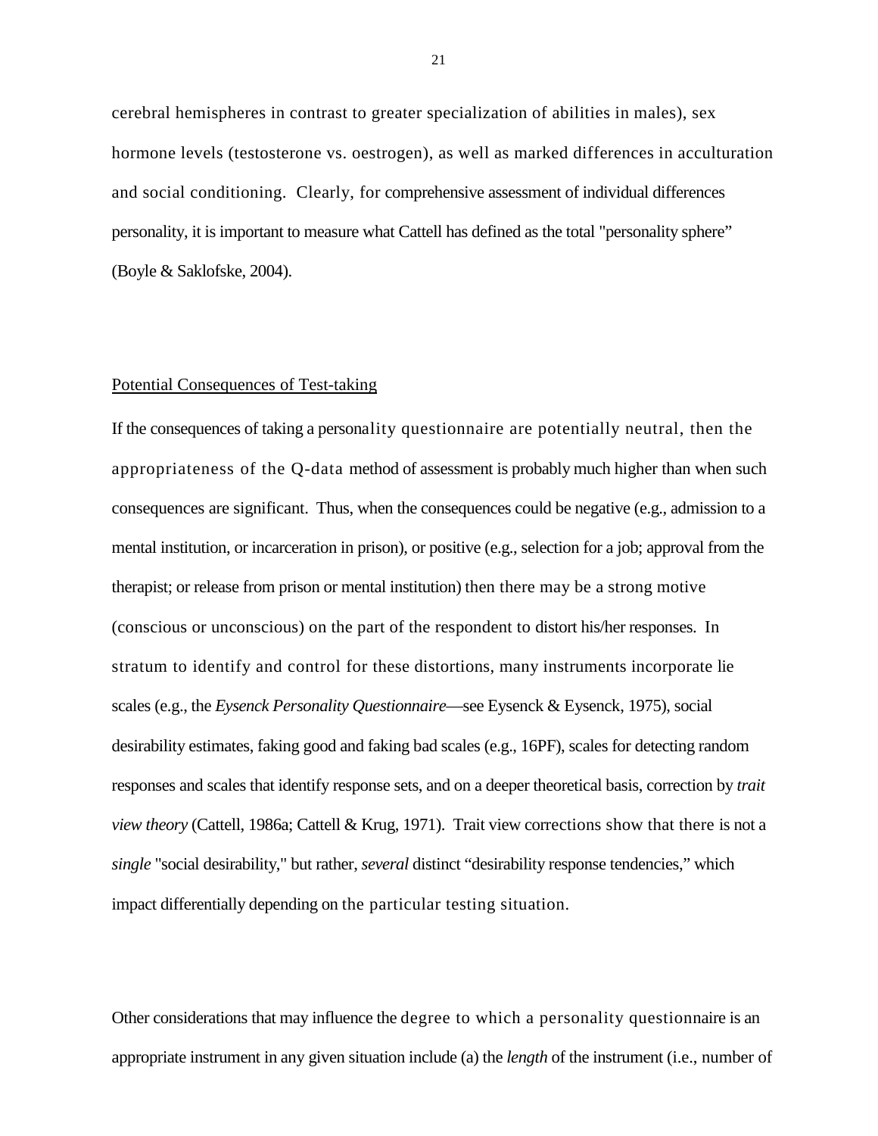cerebral hemispheres in contrast to greater specialization of abilities in males), sex hormone levels (testosterone vs. oestrogen), as well as marked differences in acculturation and social conditioning. Clearly, for comprehensive assessment of individual differences personality, it is important to measure what Cattell has defined as the total "personality sphere" (Boyle & Saklofske, 2004).

#### Potential Consequences of Test-taking

If the consequences of taking a personality questionnaire are potentially neutral, then the appropriateness of the Q-data method of assessment is probably much higher than when such consequences are significant. Thus, when the consequences could be negative (e.g., admission to a mental institution, or incarceration in prison), or positive (e.g., selection for a job; approval from the therapist; or release from prison or mental institution) then there may be a strong motive (conscious or unconscious) on the part of the respondent to distort his/her responses. In stratum to identify and control for these distortions, many instruments incorporate lie scales (e.g., the *Eysenck Personality Questionnaire*—see Eysenck & Eysenck, 1975), social desirability estimates, faking good and faking bad scales (e.g., 16PF), scales for detecting random responses and scales that identify response sets, and on a deeper theoretical basis, correction by *trait view theory* (Cattell, 1986a; Cattell & Krug, 1971). Trait view corrections show that there is not a *single* "social desirability," but rather, *several* distinct "desirability response tendencies," which impact differentially depending on the particular testing situation.

Other considerations that may influence the degree to which a personality questionnaire is an appropriate instrument in any given situation include (a) the *length* of the instrument (i.e., number of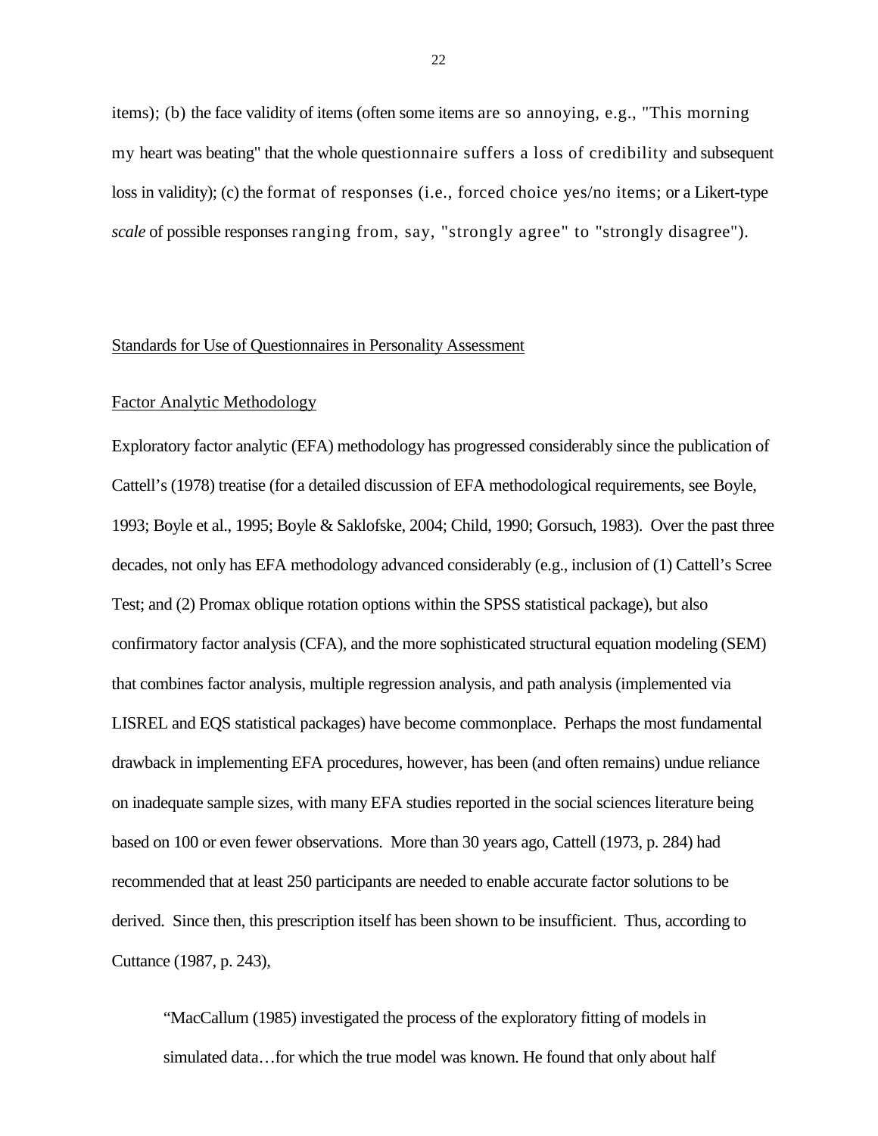items); (b) the face validity of items (often some items are so annoying, e.g., "This morning my heart was beating" that the whole questionnaire suffers a loss of credibility and subsequent loss in validity); (c) the format of responses (i.e., forced choice yes/no items; or a Likert-type *scale* of possible responses ranging from, say, "strongly agree" to "strongly disagree").

#### Standards for Use of Questionnaires in Personality Assessment

#### Factor Analytic Methodology

Exploratory factor analytic (EFA) methodology has progressed considerably since the publication of Cattell's (1978) treatise (for a detailed discussion of EFA methodological requirements, see Boyle, 1993; Boyle et al., 1995; Boyle & Saklofske, 2004; Child, 1990; Gorsuch, 1983). Over the past three decades, not only has EFA methodology advanced considerably (e.g., inclusion of (1) Cattell's Scree Test; and (2) Promax oblique rotation options within the SPSS statistical package), but also confirmatory factor analysis (CFA), and the more sophisticated structural equation modeling (SEM) that combines factor analysis, multiple regression analysis, and path analysis (implemented via LISREL and EQS statistical packages) have become commonplace. Perhaps the most fundamental drawback in implementing EFA procedures, however, has been (and often remains) undue reliance on inadequate sample sizes, with many EFA studies reported in the social sciences literature being based on 100 or even fewer observations. More than 30 years ago, Cattell (1973, p. 284) had recommended that at least 250 participants are needed to enable accurate factor solutions to be derived. Since then, this prescription itself has been shown to be insufficient. Thus, according to Cuttance (1987, p. 243),

"MacCallum (1985) investigated the process of the exploratory fitting of models in simulated data...for which the true model was known. He found that only about half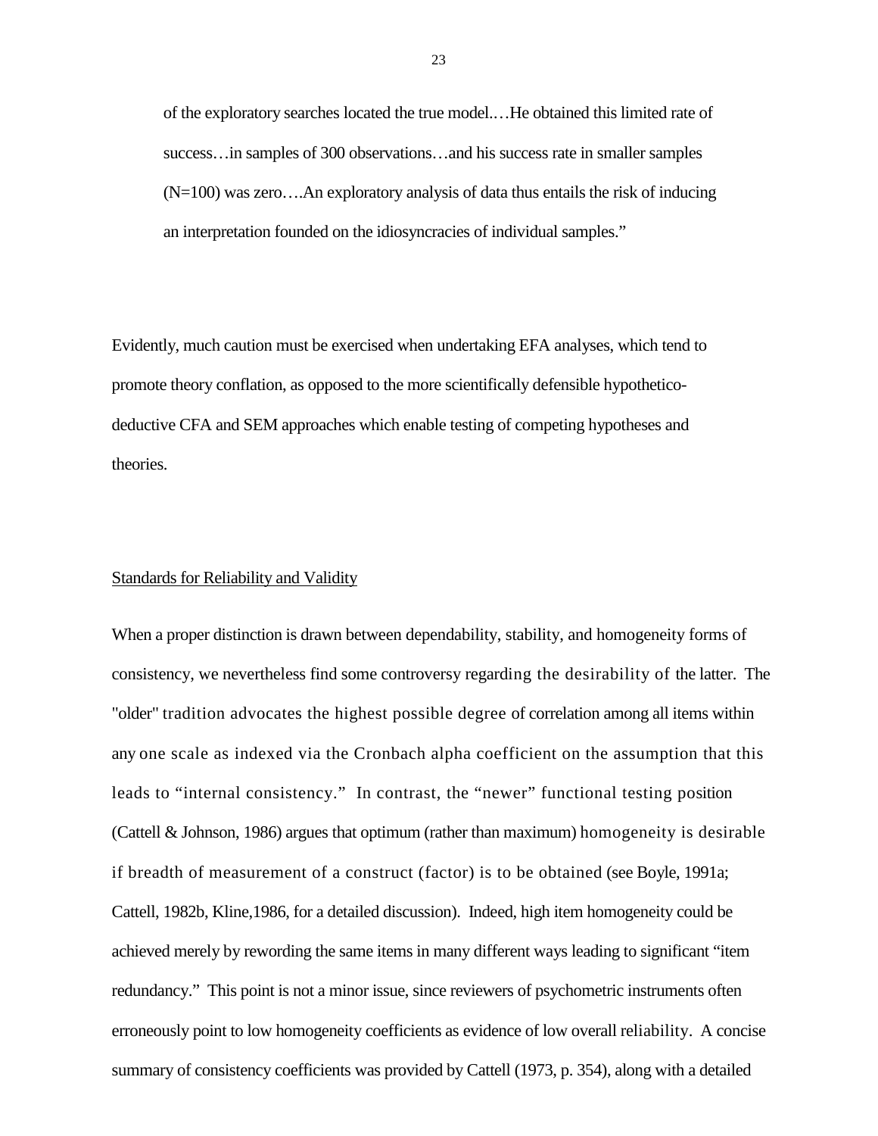of the exploratory searches located the true model.…He obtained this limited rate of success…in samples of 300 observations…and his success rate in smaller samples (N=100) was zero….An exploratory analysis of data thus entails the risk of inducing an interpretation founded on the idiosyncracies of individual samples."

Evidently, much caution must be exercised when undertaking EFA analyses, which tend to promote theory conflation, as opposed to the more scientifically defensible hypotheticodeductive CFA and SEM approaches which enable testing of competing hypotheses and theories.

#### Standards for Reliability and Validity

When a proper distinction is drawn between dependability, stability, and homogeneity forms of consistency, we nevertheless find some controversy regarding the desirability of the latter. The "older" tradition advocates the highest possible degree of correlation among all items within any one scale as indexed via the Cronbach alpha coefficient on the assumption that this leads to "internal consistency." In contrast, the "newer" functional testing position (Cattell & Johnson, 1986) argues that optimum (rather than maximum) homogeneity is desirable if breadth of measurement of a construct (factor) is to be obtained (see Boyle, 1991a; Cattell, 1982b, Kline,1986, for a detailed discussion). Indeed, high item homogeneity could be achieved merely by rewording the same items in many different ways leading to significant "item redundancy." This point is not a minor issue, since reviewers of psychometric instruments often erroneously point to low homogeneity coefficients as evidence of low overall reliability. A concise summary of consistency coefficients was provided by Cattell (1973, p. 354), along with a detailed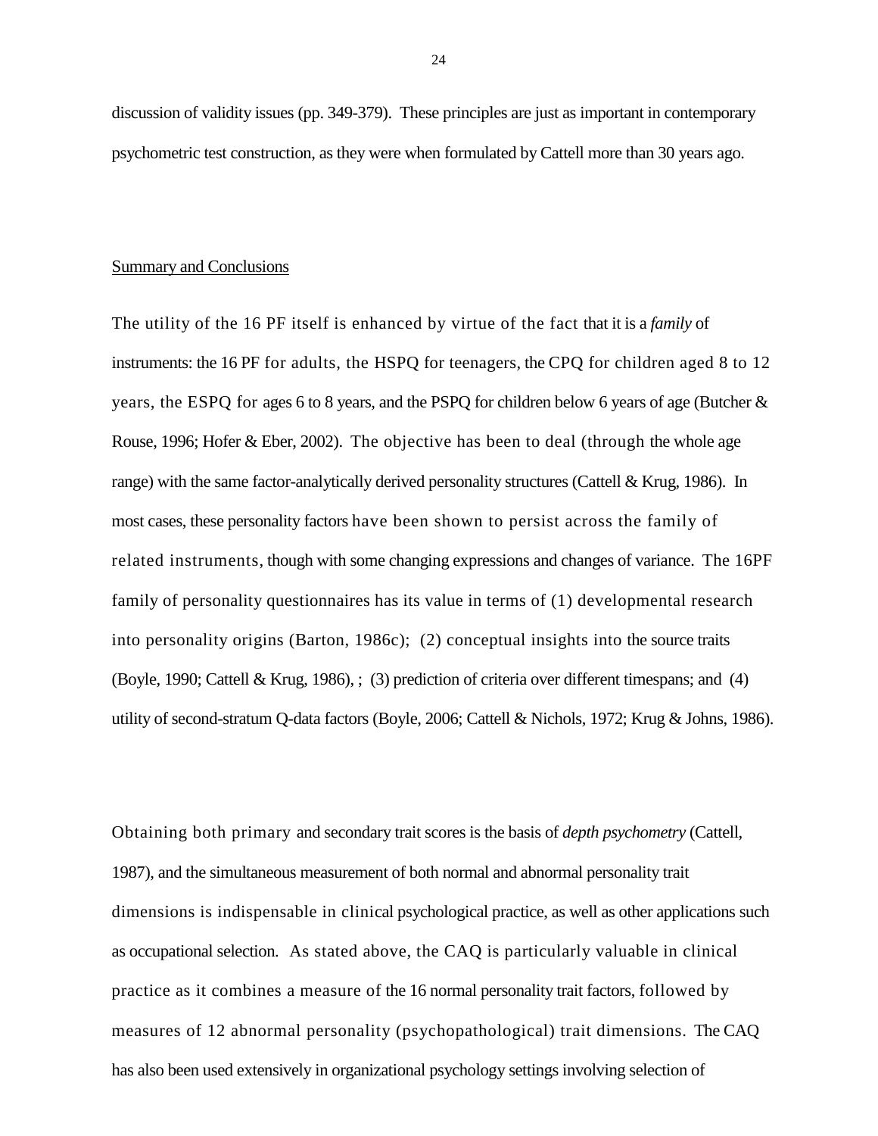discussion of validity issues (pp. 349-379). These principles are just as important in contemporary psychometric test construction, as they were when formulated by Cattell more than 30 years ago.

#### Summary and Conclusions

The utility of the 16 PF itself is enhanced by virtue of the fact that it is a *family* of instruments: the 16 PF for adults, the HSPQ for teenagers, the CPQ for children aged 8 to 12 years, the ESPQ for ages 6 to 8 years, and the PSPQ for children below 6 years of age (Butcher & Rouse, 1996; Hofer & Eber, 2002). The objective has been to deal (through the whole age range) with the same factor-analytically derived personality structures (Cattell & Krug, 1986). In most cases, these personality factors have been shown to persist across the family of related instruments, though with some changing expressions and changes of variance. The 16PF family of personality questionnaires has its value in terms of (1) developmental research into personality origins (Barton, 1986c); (2) conceptual insights into the source traits (Boyle, 1990; Cattell & Krug, 1986), ; (3) prediction of criteria over different timespans; and (4) utility of second-stratum Q-data factors (Boyle, 2006; Cattell & Nichols, 1972; Krug & Johns, 1986).

Obtaining both primary and secondary trait scores is the basis of *depth psychometry* (Cattell, 1987), and the simultaneous measurement of both normal and abnormal personality trait dimensions is indispensable in clinical psychological practice, as well as other applications such as occupational selection. As stated above, the CAQ is particularly valuable in clinical practice as it combines a measure of the 16 normal personality trait factors, followed by measures of 12 abnormal personality (psychopathological) trait dimensions. The CAQ has also been used extensively in organizational psychology settings involving selection of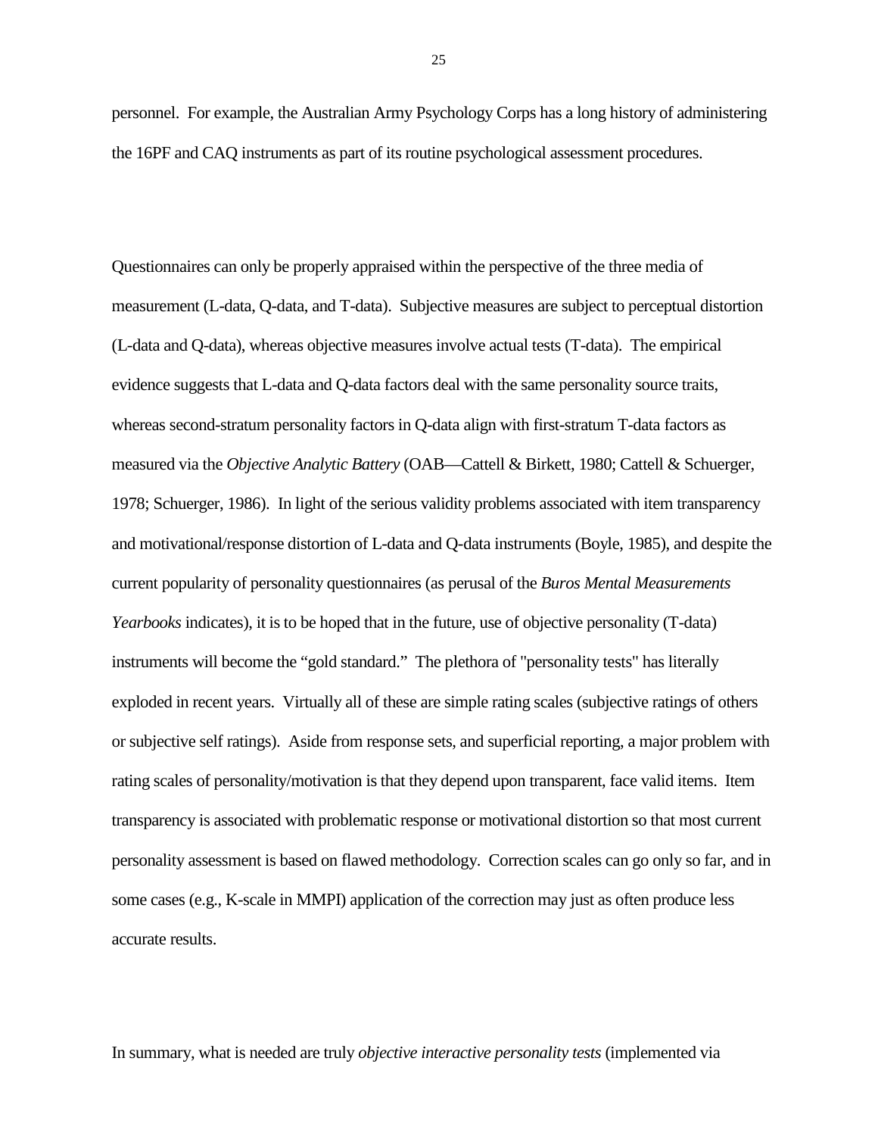personnel. For example, the Australian Army Psychology Corps has a long history of administering the 16PF and CAQ instruments as part of its routine psychological assessment procedures.

Questionnaires can only be properly appraised within the perspective of the three media of measurement (L-data, Q-data, and T-data). Subjective measures are subject to perceptual distortion (L-data and Q-data), whereas objective measures involve actual tests (T-data). The empirical evidence suggests that L-data and Q-data factors deal with the same personality source traits, whereas second-stratum personality factors in Q-data align with first-stratum T-data factors as measured via the *Objective Analytic Battery* (OAB—Cattell & Birkett, 1980; Cattell & Schuerger, 1978; Schuerger, 1986). In light of the serious validity problems associated with item transparency and motivational/response distortion of L-data and Q-data instruments (Boyle, 1985), and despite the current popularity of personality questionnaires (as perusal of the *Buros Mental Measurements Yearbooks* indicates), it is to be hoped that in the future, use of objective personality (T-data) instruments will become the "gold standard." The plethora of "personality tests" has literally exploded in recent years. Virtually all of these are simple rating scales (subjective ratings of others or subjective self ratings). Aside from response sets, and superficial reporting, a major problem with rating scales of personality/motivation is that they depend upon transparent, face valid items. Item transparency is associated with problematic response or motivational distortion so that most current personality assessment is based on flawed methodology. Correction scales can go only so far, and in some cases (e.g., K-scale in MMPI) application of the correction may just as often produce less accurate results.

In summary, what is needed are truly *objective interactive personality tests* (implemented via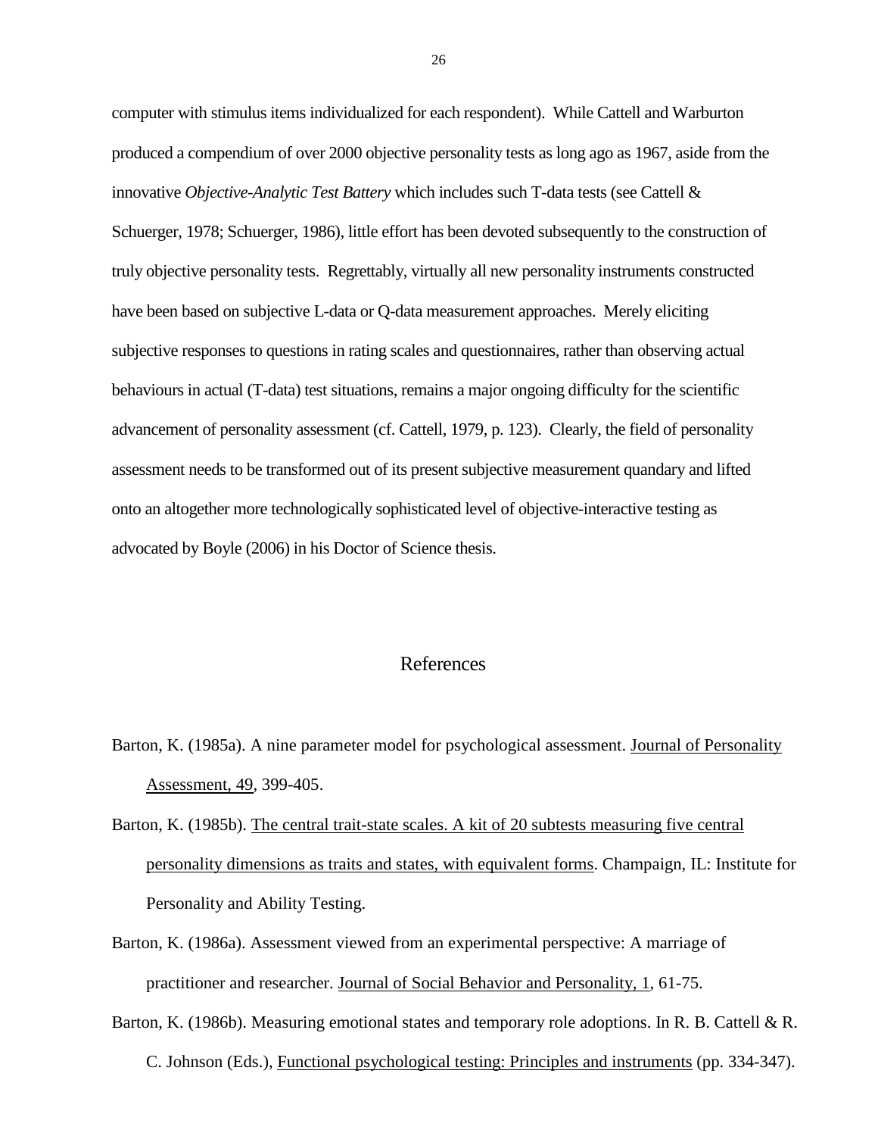computer with stimulus items individualized for each respondent). While Cattell and Warburton produced a compendium of over 2000 objective personality tests as long ago as 1967, aside from the innovative *Objective-Analytic Test Battery* which includes such T-data tests (see Cattell & Schuerger, 1978; Schuerger, 1986), little effort has been devoted subsequently to the construction of truly objective personality tests. Regrettably, virtually all new personality instruments constructed have been based on subjective L-data or Q-data measurement approaches. Merely eliciting subjective responses to questions in rating scales and questionnaires, rather than observing actual behaviours in actual (T-data) test situations, remains a major ongoing difficulty for the scientific advancement of personality assessment (cf. Cattell, 1979, p. 123). Clearly, the field of personality assessment needs to be transformed out of its present subjective measurement quandary and lifted onto an altogether more technologically sophisticated level of objective-interactive testing as advocated by Boyle (2006) in his Doctor of Science thesis.

## References

- Barton, K. (1985a). A nine parameter model for psychological assessment. Journal of Personality Assessment, 49, 399-405.
- Barton, K. (1985b). The central trait-state scales. A kit of 20 subtests measuring five central personality dimensions as traits and states, with equivalent forms. Champaign, IL: Institute for Personality and Ability Testing.
- Barton, K. (1986a). Assessment viewed from an experimental perspective: A marriage of practitioner and researcher. Journal of Social Behavior and Personality, 1, 61-75.
- Barton, K. (1986b). Measuring emotional states and temporary role adoptions. In R. B. Cattell & R. C. Johnson (Eds.), Functional psychological testing: Principles and instruments (pp. 334-347).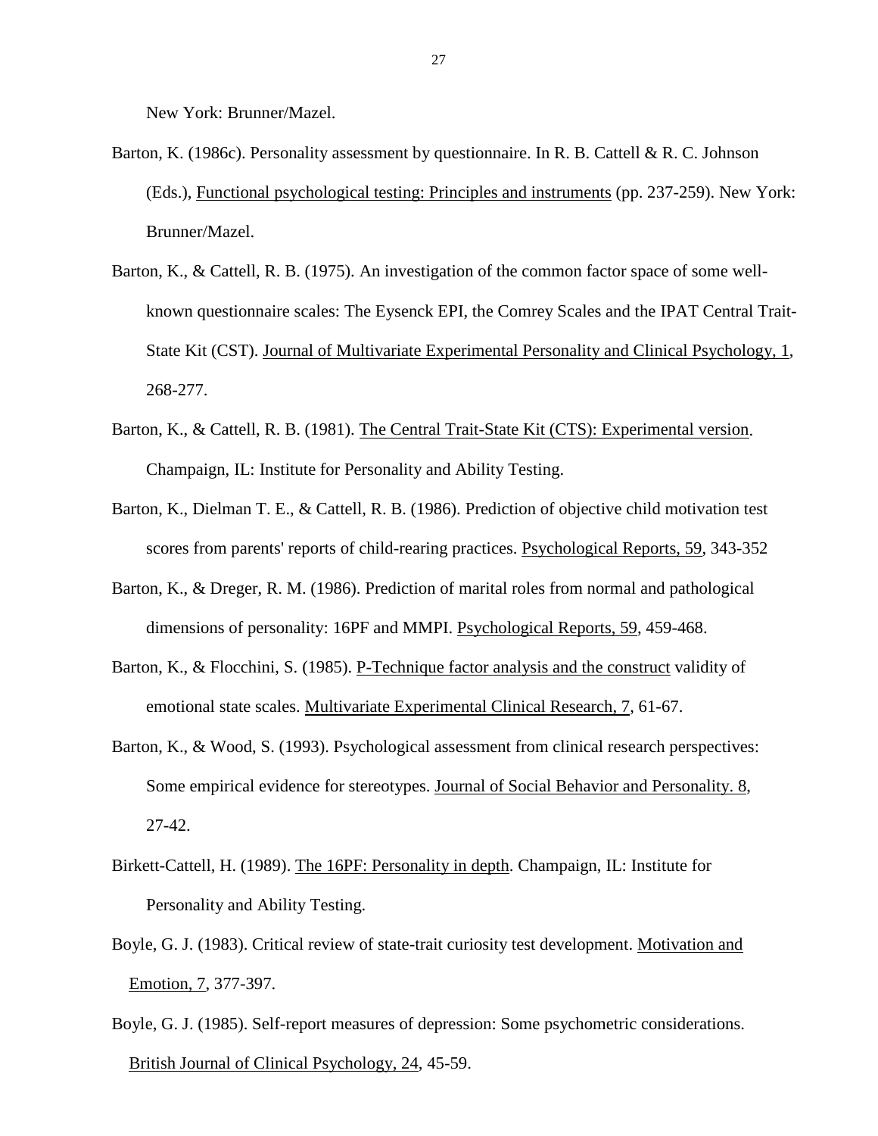New York: Brunner/Mazel.

- Barton, K. (1986c). Personality assessment by questionnaire. In R. B. Cattell & R. C. Johnson (Eds.), Functional psychological testing: Principles and instruments (pp. 237-259). New York: Brunner/Mazel.
- Barton, K., & Cattell, R. B. (1975). An investigation of the common factor space of some wellknown questionnaire scales: The Eysenck EPI, the Comrey Scales and the IPAT Central Trait-State Kit (CST). Journal of Multivariate Experimental Personality and Clinical Psychology, 1, 268-277.
- Barton, K., & Cattell, R. B. (1981). The Central Trait-State Kit (CTS): Experimental version. Champaign, IL: Institute for Personality and Ability Testing.
- Barton, K., Dielman T. E., & Cattell, R. B. (1986). Prediction of objective child motivation test scores from parents' reports of child-rearing practices. Psychological Reports, 59, 343-352
- Barton, K., & Dreger, R. M. (1986). Prediction of marital roles from normal and pathological dimensions of personality: 16PF and MMPI. Psychological Reports, 59, 459-468.
- [Barton, K., & Flocchini, S. \(1985\). P-Technique factor analysis and the construct](http://hcd.ucdavis.edu/classes/hde121/ARTICLE51.htm) validity of emotional state scales. Multivariate Experimental Clinical Research, 7, [61-67.](http://hcd.ucdavis.edu/classes/hde121/ARTICLE51.htm)
- Barton, K., & Wood, S. (1993). Psychological assessment from clinical research perspectives: Some empirical evidence for stereotypes. Journal of Social Behavior and Personality. 8, 27-42.
- Birkett-Cattell, H. (1989). The 16PF: Personality in depth. Champaign, IL: Institute for Personality and Ability Testing.
- Boyle, G. J. (1983). Critical review of state-trait curiosity test development. Motivation and Emotion, 7, 377-397.
- Boyle, G. J. (1985). Self-report measures of depression: Some psychometric considerations. British Journal of Clinical Psychology, 24, 45-59.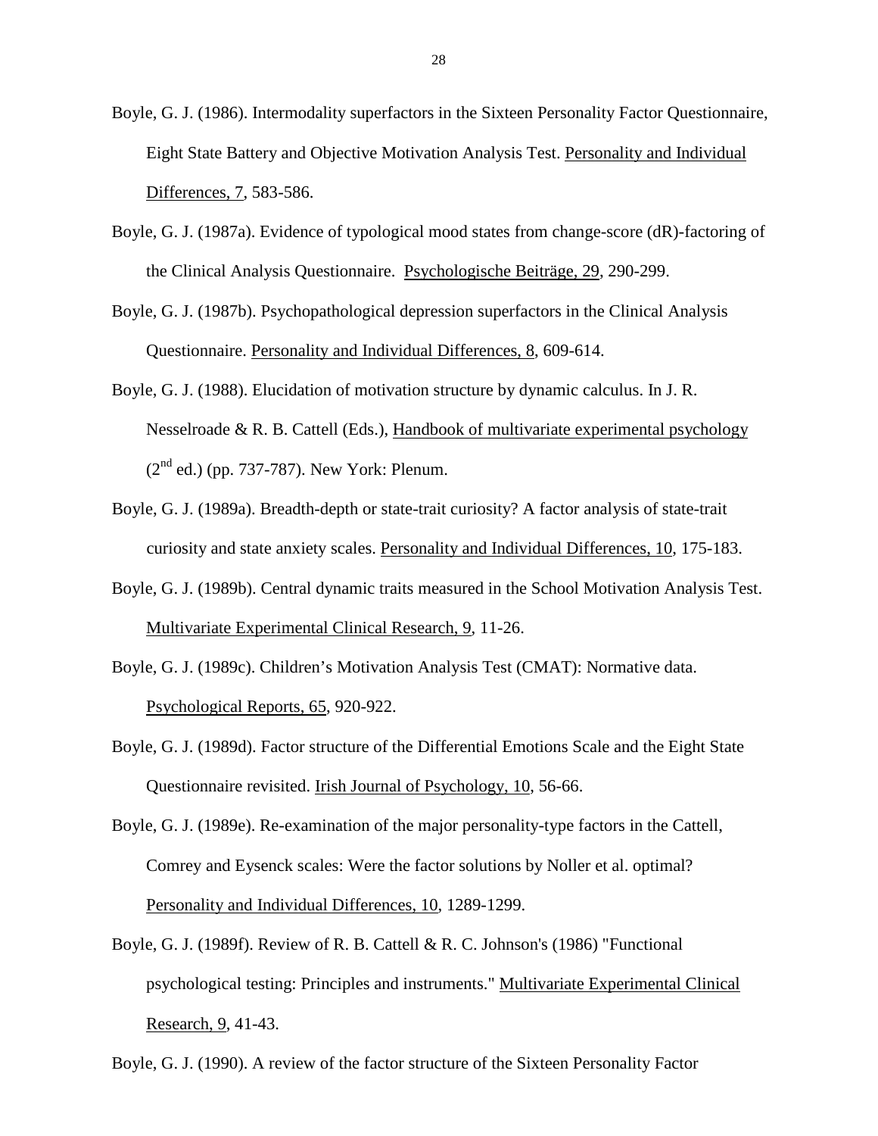Boyle, G. J. (1986). Intermodality superfactors in the Sixteen Personality Factor Questionnaire, Eight State Battery and Objective Motivation Analysis Test. Personality and Individual Differences, 7, 583-586.

- Boyle, G. J. (1987a). Evidence of typological mood states from change-score (dR)-factoring of the Clinical Analysis Questionnaire. Psychologische Beiträge, 29, 290-299.
- Boyle, G. J. (1987b). Psychopathological depression superfactors in the Clinical Analysis Questionnaire. Personality and Individual Differences, 8, 609-614.
- Boyle, G. J. (1988). Elucidation of motivation structure by dynamic calculus. In J. R. Nesselroade & R. B. Cattell (Eds.), Handbook of multivariate experimental psychology  $(2<sup>nd</sup>$  ed.) (pp. 737-787). New York: Plenum.
- Boyle, G. J. (1989a). Breadth-depth or state-trait curiosity? A factor analysis of state-trait curiosity and state anxiety scales. Personality and Individual Differences, 10, 175-183.
- Boyle, G. J. (1989b). Central dynamic traits measured in the School Motivation Analysis Test. Multivariate Experimental Clinical Research, 9, 11-26.
- Boyle, G. J. (1989c). Children's Motivation Analysis Test (CMAT): Normative data. Psychological Reports, 65, 920-922.
- Boyle, G. J. (1989d). Factor structure of the Differential Emotions Scale and the Eight State Questionnaire revisited. Irish Journal of Psychology, 10, 56-66.
- Boyle, G. J. (1989e). Re-examination of the major personality-type factors in the Cattell, Comrey and Eysenck scales: Were the factor solutions by Noller et al. optimal? Personality and Individual Differences, 10, 1289-1299.
- Boyle, G. J. (1989f). Review of R. B. Cattell & R. C. Johnson's (1986) "Functional psychological testing: Principles and instruments." Multivariate Experimental Clinical Research, 9, 41-43.

Boyle, G. J. (1990). A review of the factor structure of the Sixteen Personality Factor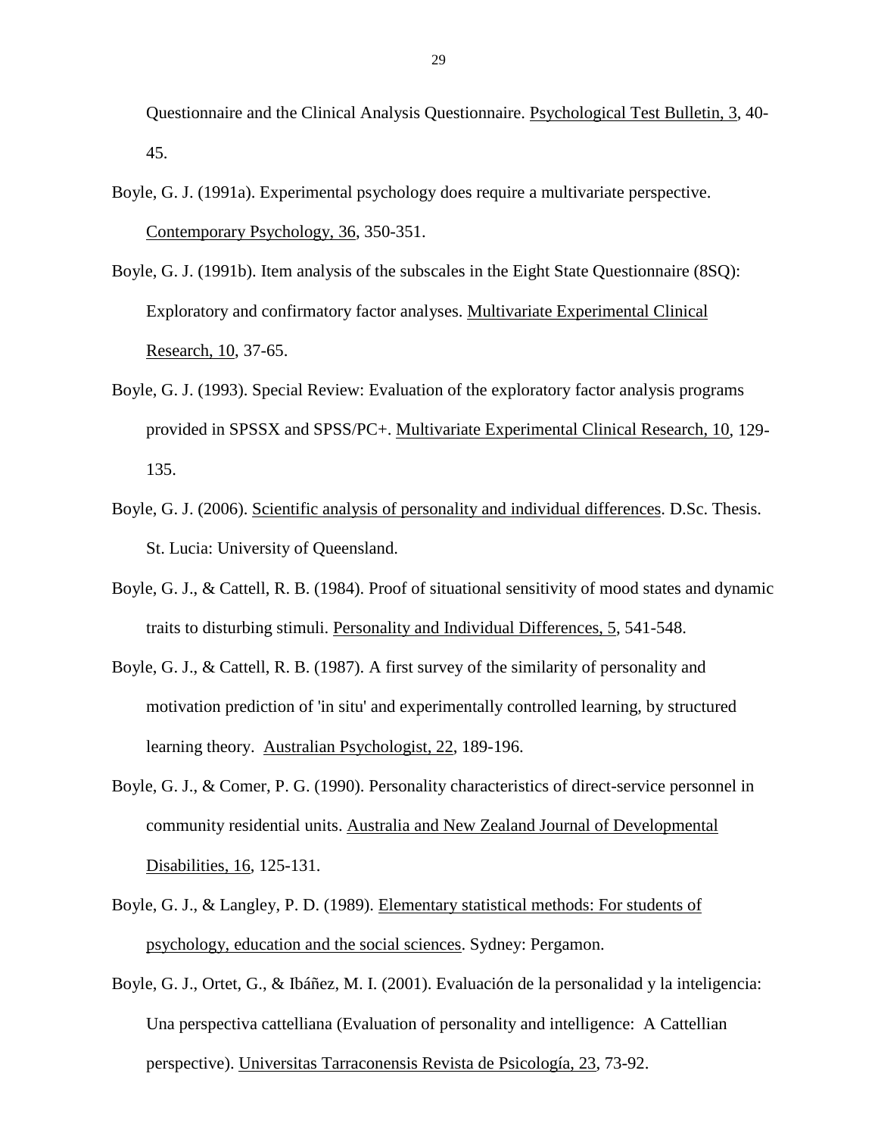Questionnaire and the Clinical Analysis Questionnaire. Psychological Test Bulletin, 3, 40- 45.

- Boyle, G. J. (1991a). Experimental psychology does require a multivariate perspective. Contemporary Psychology, 36, 350-351.
- Boyle, G. J. (1991b). Item analysis of the subscales in the Eight State Questionnaire (8SQ): Exploratory and confirmatory factor analyses. Multivariate Experimental Clinical Research, 10, 37-65.
- Boyle, G. J. (1993). Special Review: Evaluation of the exploratory factor analysis programs provided in SPSSX and SPSS/PC+. Multivariate Experimental Clinical Research, 10, 129- 135.
- Boyle, G. J. (2006). Scientific analysis of personality and individual differences. D.Sc. Thesis. St. Lucia: University of Queensland.
- Boyle, G. J., & Cattell, R. B. (1984). Proof of situational sensitivity of mood states and dynamic traits to disturbing stimuli. Personality and Individual Differences, 5, 541-548.
- Boyle, G. J., & Cattell, R. B. (1987). A first survey of the similarity of personality and motivation prediction of 'in situ' and experimentally controlled learning, by structured learning theory. Australian Psychologist, 22, 189-196.
- Boyle, G. J., & Comer, P. G. (1990). Personality characteristics of direct-service personnel in community residential units. Australia and New Zealand Journal of Developmental Disabilities, 16, 125-131.
- Boyle, G. J., & Langley, P. D. (1989). Elementary statistical methods: For students of psychology, education and the social sciences. Sydney: Pergamon.
- Boyle, G. J., Ortet, G., & Ibáñez, M. I. (2001). Evaluación de la personalidad y la inteligencia: Una perspectiva cattelliana (Evaluation of personality and intelligence: A Cattellian perspective). Universitas Tarraconensis Revista de Psicología, 23, 73-92.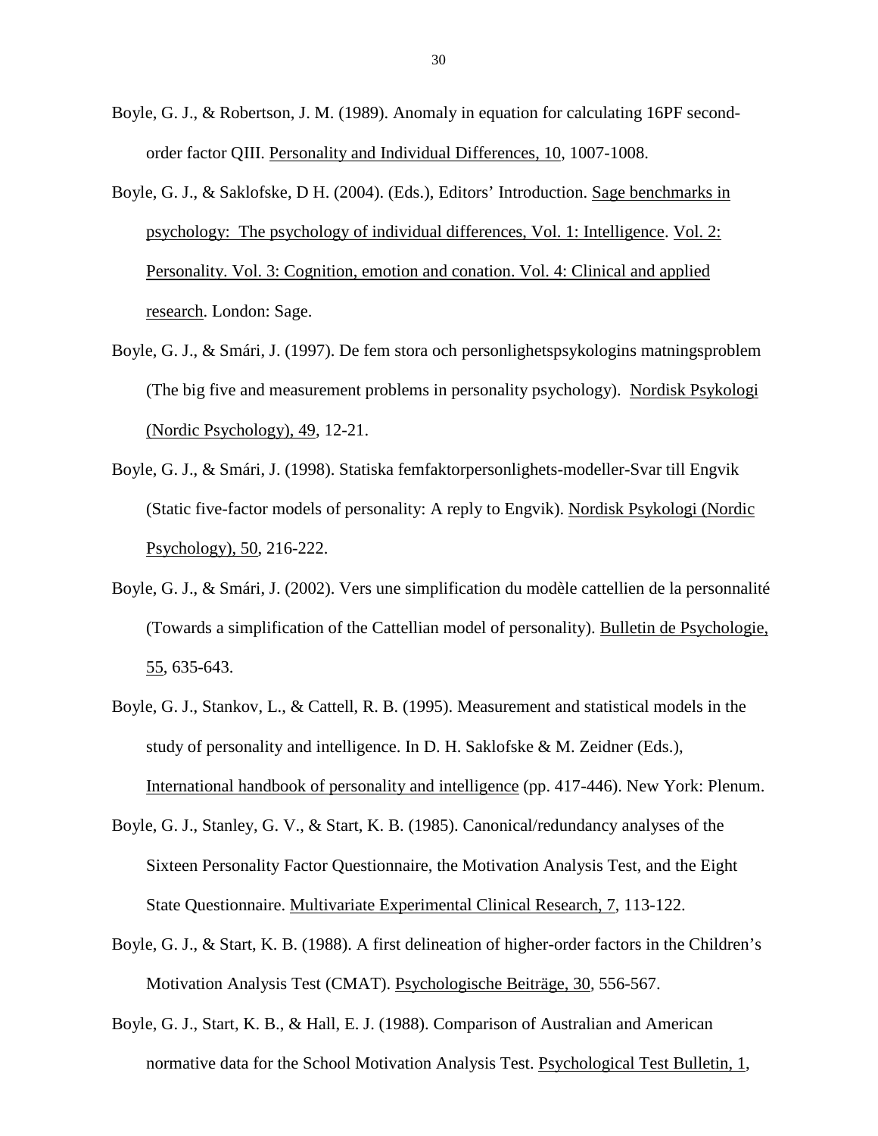- Boyle, G. J., & Robertson, J. M. (1989). Anomaly in equation for calculating 16PF secondorder factor QIII. Personality and Individual Differences, 10, 1007-1008.
- Boyle, G. J., & Saklofske, D H. (2004). (Eds.), Editors' Introduction. Sage benchmarks in psychology: The psychology of individual differences, Vol. 1: Intelligence. Vol. 2: Personality. Vol. 3: Cognition, emotion and conation. Vol. 4: Clinical and applied research. London: Sage.
- Boyle, G. J., & Smári, J. (1997). De fem stora och personlighetspsykologins matningsproblem (The big five and measurement problems in personality psychology). Nordisk Psykologi (Nordic Psychology), 49, 12-21.
- Boyle, G. J., & Smári, J. (1998). Statiska femfaktorpersonlighets-modeller-Svar till Engvik (Static five-factor models of personality: A reply to Engvik). Nordisk Psykologi (Nordic Psychology), 50, 216-222.
- Boyle, G. J., & Smári, J. (2002). Vers une simplification du modèle cattellien de la personnalité (Towards a simplification of the Cattellian model of personality). Bulletin de Psychologie, 55, 635-643.
- Boyle, G. J., Stankov, L., & Cattell, R. B. (1995). Measurement and statistical models in the study of personality and intelligence. In D. H. Saklofske & M. Zeidner (Eds.), International handbook of personality and intelligence (pp. 417-446). New York: Plenum.
- Boyle, G. J., Stanley, G. V., & Start, K. B. (1985). Canonical/redundancy analyses of the Sixteen Personality Factor Questionnaire, the Motivation Analysis Test, and the Eight State Questionnaire. Multivariate Experimental Clinical Research, 7, 113-122.
- Boyle, G. J., & Start, K. B. (1988). A first delineation of higher-order factors in the Children's Motivation Analysis Test (CMAT). Psychologische Beiträge, 30, 556-567.
- Boyle, G. J., Start, K. B., & Hall, E. J. (1988). Comparison of Australian and American normative data for the School Motivation Analysis Test. Psychological Test Bulletin, 1,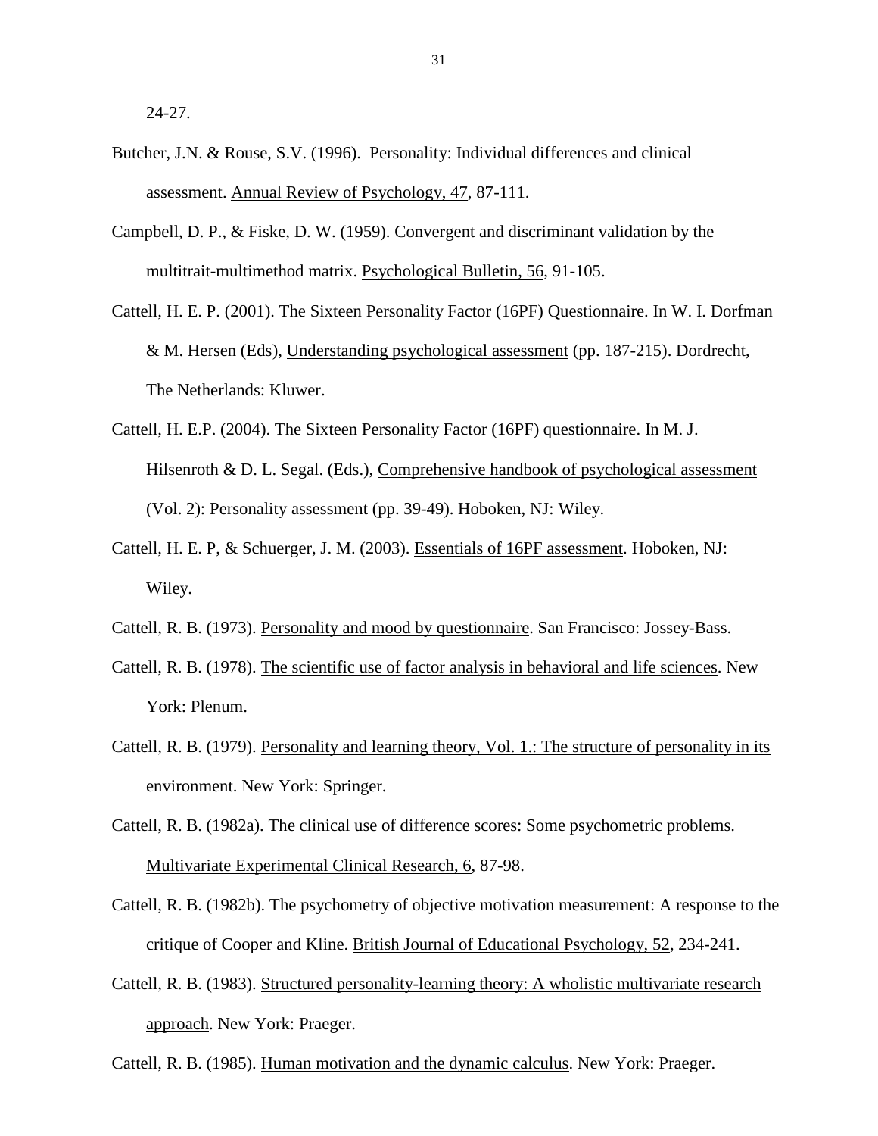24-27.

- Butcher, J.N. & Rouse, S.V. (1996). Personality: Individual differences and clinical assessment. Annual Review of Psychology, 47, 87-111.
- Campbell, D. P., & Fiske, D. W. (1959). Convergent and discriminant validation by the multitrait-multimethod matrix. Psychological Bulletin, 56, 91-105.
- Cattell, H. E. P. (2001). The Sixteen Personality Factor (16PF) Questionnaire. In W. I. Dorfman & M. Hersen (Eds), Understanding psychological assessment (pp. 187-215). Dordrecht, The Netherlands: Kluwer.
- Cattell, H. E.P. (2004). The Sixteen Personality Factor (16PF) questionnaire. In M. J. Hilsenroth & D. L. Segal. (Eds.), Comprehensive handbook of psychological assessment (Vol. 2): Personality assessment (pp. 39-49). Hoboken, NJ: Wiley.
- Cattell, H. E. P, & Schuerger, J. M. (2003). Essentials of 16PF assessment. Hoboken, NJ: Wiley.
- Cattell, R. B. (1973). Personality and mood by questionnaire. San Francisco: Jossey-Bass.
- Cattell, R. B. (1978). The scientific use of factor analysis in behavioral and life sciences. New York: Plenum.
- Cattell, R. B. (1979). Personality and learning theory, Vol. 1.: The structure of personality in its environment. New York: Springer.
- Cattell, R. B. (1982a). The clinical use of difference scores: Some psychometric problems. Multivariate Experimental Clinical Research, 6, 87-98.
- Cattell, R. B. (1982b). The psychometry of objective motivation measurement: A response to the critique of Cooper and Kline. British Journal of Educational Psychology, 52, 234-241.
- Cattell, R. B. (1983). Structured personality-learning theory: A wholistic multivariate research approach. New York: Praeger.

Cattell, R. B. (1985). Human motivation and the dynamic calculus. New York: Praeger.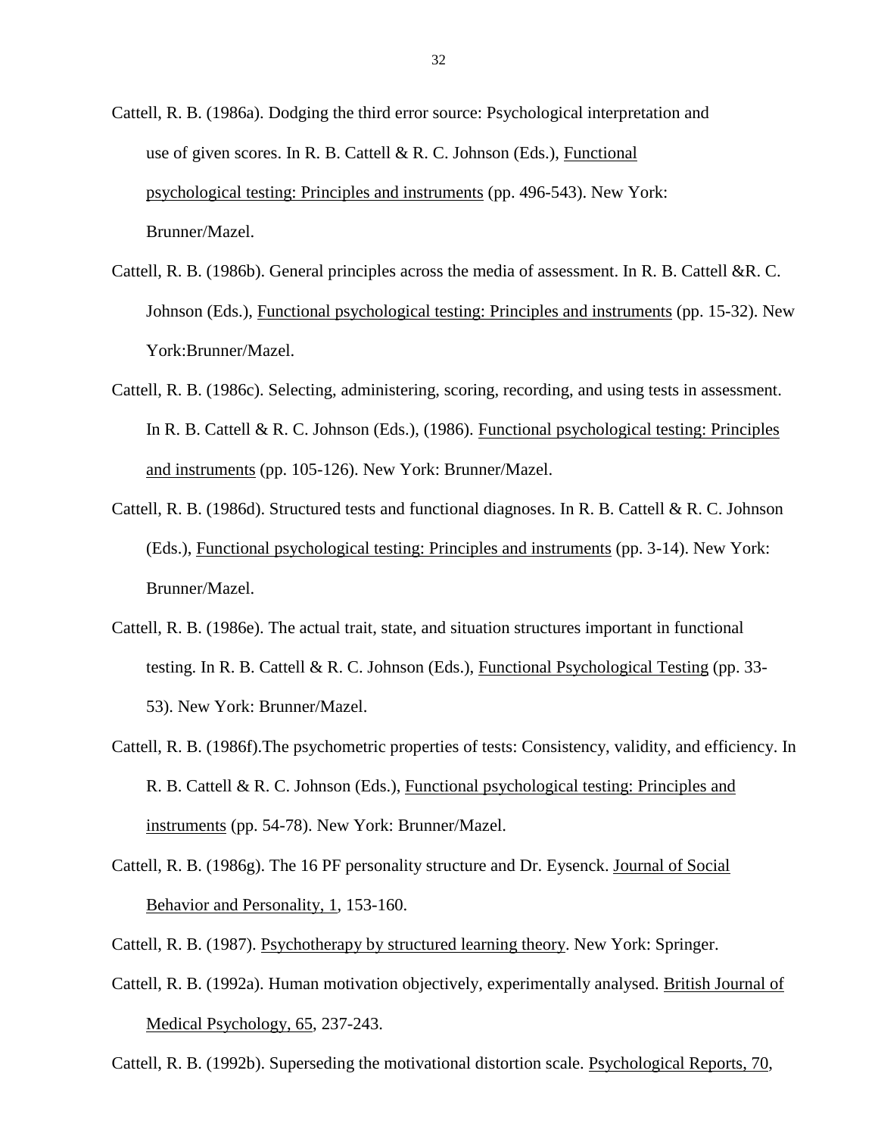- Cattell, R. B. (1986a). Dodging the third error source: Psychological interpretation and use of given scores. In R. B. Cattell & R. C. Johnson (Eds.), Functional psychological testing: Principles and instruments (pp. 496-543). New York: Brunner/Mazel.
- Cattell, R. B. (1986b). General principles across the media of assessment. In R. B. Cattell &R. C. Johnson (Eds.), Functional psychological testing: Principles and instruments (pp. 15-32). New York:Brunner/Mazel.
- Cattell, R. B. (1986c). Selecting, administering, scoring, recording, and using tests in assessment. In R. B. Cattell & R. C. Johnson (Eds.), (1986). Functional psychological testing: Principles and instruments (pp. 105-126). New York: Brunner/Mazel.
- Cattell, R. B. (1986d). Structured tests and functional diagnoses. In R. B. Cattell & R. C. Johnson (Eds.), Functional psychological testing: Principles and instruments (pp. 3-14). New York: Brunner/Mazel.
- Cattell, R. B. (1986e). The actual trait, state, and situation structures important in functional testing. In R. B. Cattell & R. C. Johnson (Eds.), Functional Psychological Testing (pp. 33-53). New York: Brunner/Mazel.
- Cattell, R. B. (1986f).The psychometric properties of tests: Consistency, validity, and efficiency. In R. B. Cattell & R. C. Johnson (Eds.), Functional psychological testing: Principles and instruments (pp. 54-78). New York: Brunner/Mazel.
- Cattell, R. B. (1986g). The 16 PF personality structure and Dr. Eysenck. Journal of Social Behavior and Personality, 1, 153-160.
- Cattell, R. B. (1987). Psychotherapy by structured learning theory. New York: Springer.
- Cattell, R. B. (1992a). Human motivation objectively, experimentally analysed. British Journal of Medical Psychology, 65, 237-243.

Cattell, R. B. (1992b). Superseding the motivational distortion scale. Psychological Reports, 70,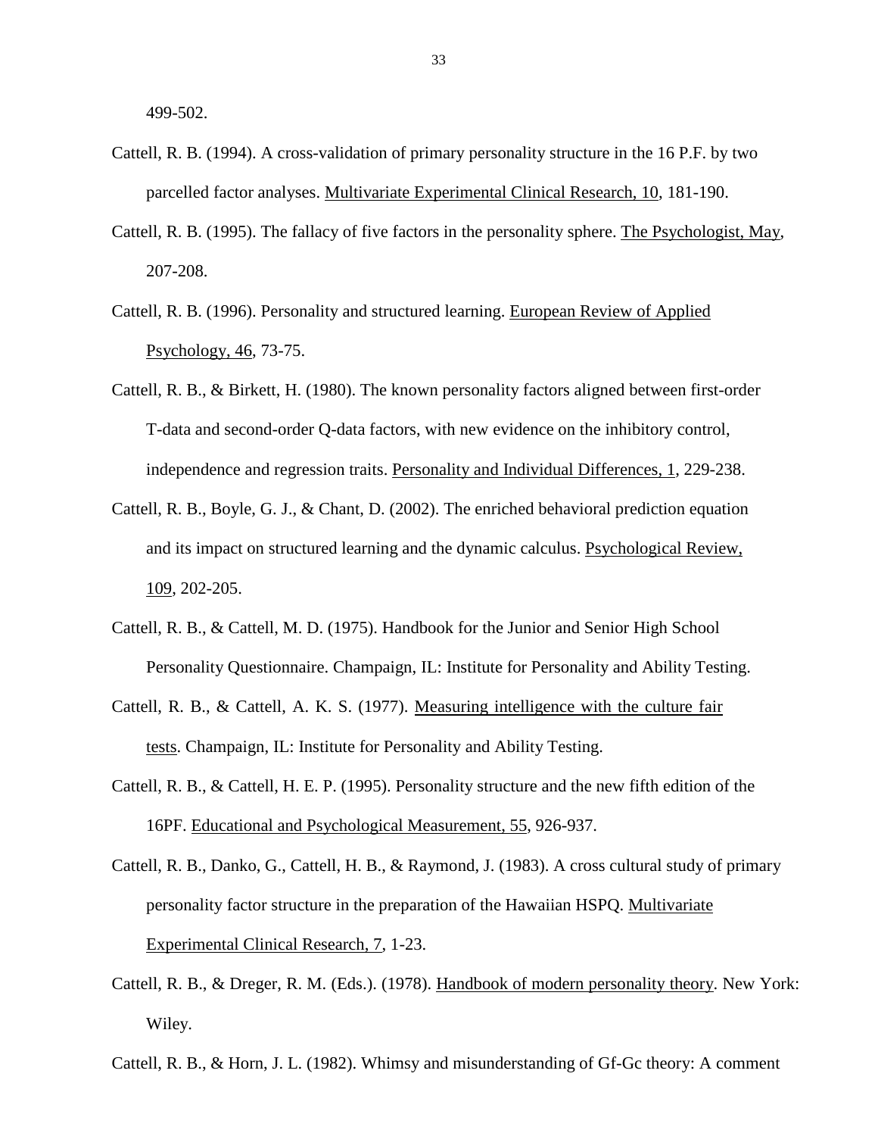499-502.

- Cattell, R. B. (1994). A cross-validation of primary personality structure in the 16 P.F. by two parcelled factor analyses. Multivariate Experimental Clinical Research, 10, 181-190.
- Cattell, R. B. (1995). The fallacy of five factors in the personality sphere. The Psychologist, May, 207-208.
- Cattell, R. B. (1996). Personality and structured learning. European Review of Applied Psychology, 46, 73-75.
- Cattell, R. B., & Birkett, H. (1980). The known personality factors aligned between first-order T-data and second-order Q-data factors, with new evidence on the inhibitory control, independence and regression traits. Personality and Individual Differences, 1, 229-238.
- Cattell, R. B., Boyle, G. J., & Chant, D. (2002). The enriched behavioral prediction equation and its impact on structured learning and the dynamic calculus. Psychological Review, 109, 202-205.
- Cattell, R. B., & Cattell, M. D. (1975). Handbook for the Junior and Senior High School Personality Questionnaire. Champaign, IL: Institute for Personality and Ability Testing.
- Cattell, R. B., & Cattell, A. K. S. (1977). Measuring intelligence with the culture fair tests. Champaign, IL: Institute for Personality and Ability Testing.
- Cattell, R. B., & Cattell, H. E. P. (1995). Personality structure and the new fifth edition of the 16PF. Educational and Psychological Measurement, 55, 926-937.
- Cattell, R. B., Danko, G., Cattell, H. B., & Raymond, J. (1983). A cross cultural study of primary personality factor structure in the preparation of the Hawaiian HSPQ. Multivariate Experimental Clinical Research, 7, 1-23.
- Cattell, R. B., & Dreger, R. M. (Eds.). (1978). Handbook of modern personality theory. New York: Wiley.
- Cattell, R. B., & Horn, J. L. (1982). Whimsy and misunderstanding of Gf-Gc theory: A comment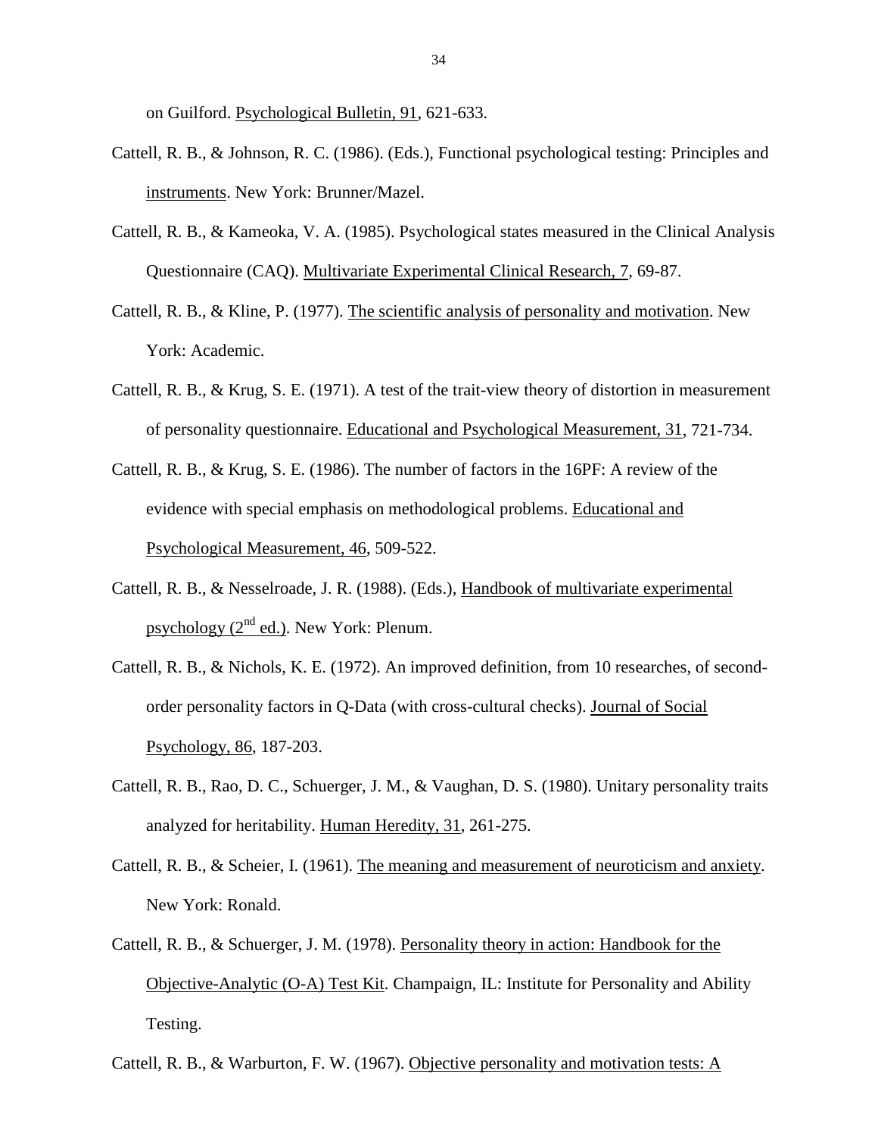on Guilford. Psychological Bulletin, 91, 621-633.

- Cattell, R. B., & Johnson, R. C. (1986). (Eds.), Functional psychological testing: Principles and instruments. New York: Brunner/Mazel.
- Cattell, R. B., & Kameoka, V. A. (1985). Psychological states measured in the Clinical Analysis Questionnaire (CAQ). Multivariate Experimental Clinical Research, 7, 69-87.
- Cattell, R. B., & Kline, P. (1977). The scientific analysis of personality and motivation. New York: Academic.
- Cattell, R. B., & Krug, S. E. (1971). A test of the trait-view theory of distortion in measurement of personality questionnaire. Educational and Psychological Measurement, 31, 721-734.
- Cattell, R. B., & Krug, S. E. (1986). The number of factors in the 16PF: A review of the evidence with special emphasis on methodological problems. Educational and Psychological Measurement, 46, 509-522.
- Cattell, R. B., & Nesselroade, J. R. (1988). (Eds.), Handbook of multivariate experimental psychology  $(2^{nd}$  ed.). New York: Plenum.
- Cattell, R. B., & Nichols, K. E. (1972). An improved definition, from 10 researches, of secondorder personality factors in Q-Data (with cross-cultural checks). Journal of Social Psychology, 86, 187-203.
- Cattell, R. B., Rao, D. C., Schuerger, J. M., & Vaughan, D. S. (1980). Unitary personality traits analyzed for heritability. Human Heredity, 31, 261-275.
- Cattell, R. B., & Scheier, I. (1961). The meaning and measurement of neuroticism and anxiety. New York: Ronald.
- Cattell, R. B., & Schuerger, J. M. (1978). Personality theory in action: Handbook for the Objective-Analytic (O-A) Test Kit. Champaign, IL: Institute for Personality and Ability Testing.

Cattell, R. B., & Warburton, F. W. (1967). Objective personality and motivation tests: A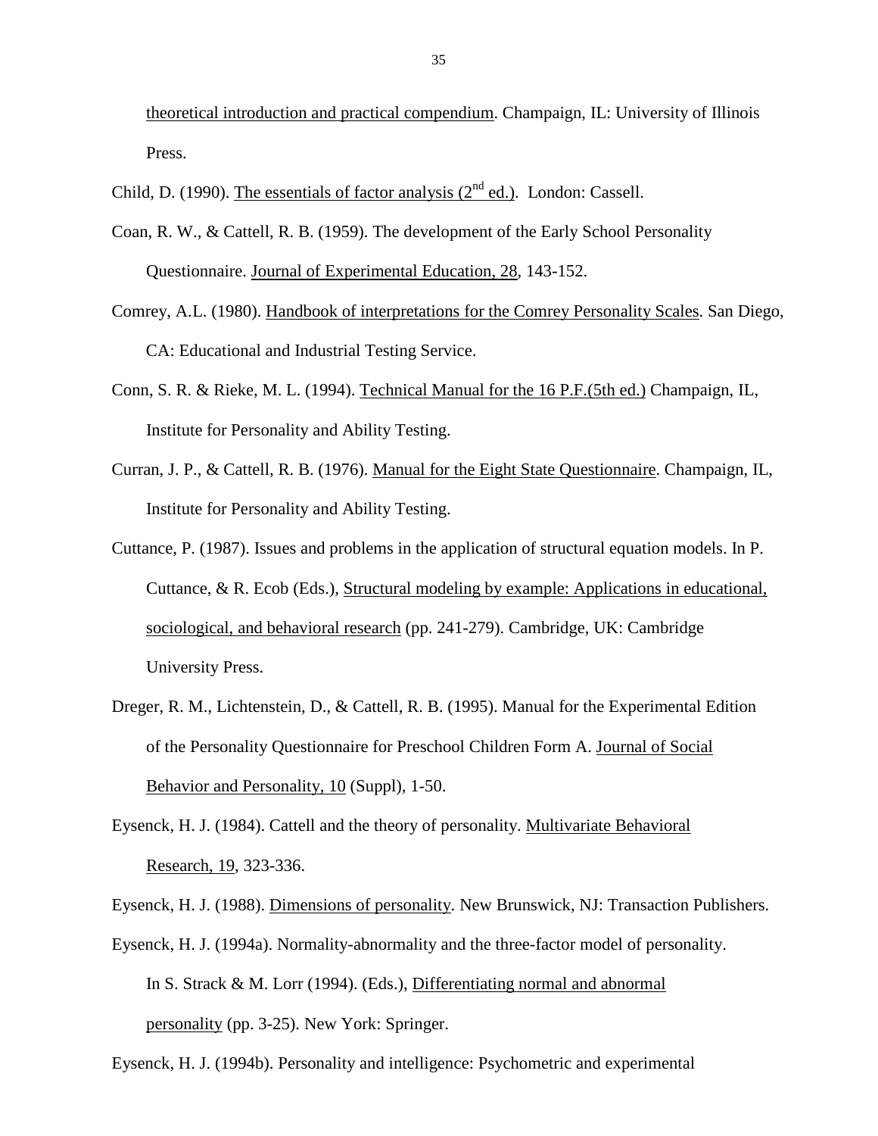theoretical introduction and practical compendium. Champaign, IL: University of Illinois Press.

Child, D. (1990). The essentials of factor analysis ( $2<sup>nd</sup>$  ed.). London: Cassell.

- Coan, R. W., & Cattell, R. B. (1959). The development of the Early School Personality Questionnaire. Journal of Experimental Education, 28, 143-152.
- Comrey, A.L. (1980). Handbook of interpretations for the Comrey Personality Scales. San Diego, CA: Educational and Industrial Testing Service.
- Conn, S. R. & Rieke, M. L. (1994). Technical Manual for the 16 P.F.(5th ed.) Champaign, IL, Institute for Personality and Ability Testing.
- Curran, J. P., & Cattell, R. B. (1976). Manual for the Eight State Questionnaire. Champaign, IL, Institute for Personality and Ability Testing.
- Cuttance, P. (1987). Issues and problems in the application of structural equation models. In P. Cuttance, & R. Ecob (Eds.), Structural modeling by example: Applications in educational, sociological, and behavioral research (pp. 241-279). Cambridge, UK: Cambridge University Press.
- Dreger, R. M., Lichtenstein, D., & Cattell, R. B. (1995). Manual for the Experimental Edition of the Personality Questionnaire for Preschool Children Form A. Journal of Social Behavior and Personality, 10 (Suppl), 1-50.
- Eysenck, H. J. (1984). Cattell and the theory of personality. Multivariate Behavioral Research, 19, 323-336.

Eysenck, H. J. (1988). Dimensions of personality. New Brunswick, NJ: Transaction Publishers.

Eysenck, H. J. (1994a). Normality-abnormality and the three-factor model of personality. In S. Strack & M. Lorr (1994). (Eds.), Differentiating normal and abnormal personality (pp. 3-25). New York: Springer.

Eysenck, H. J. (1994b). Personality and intelligence: Psychometric and experimental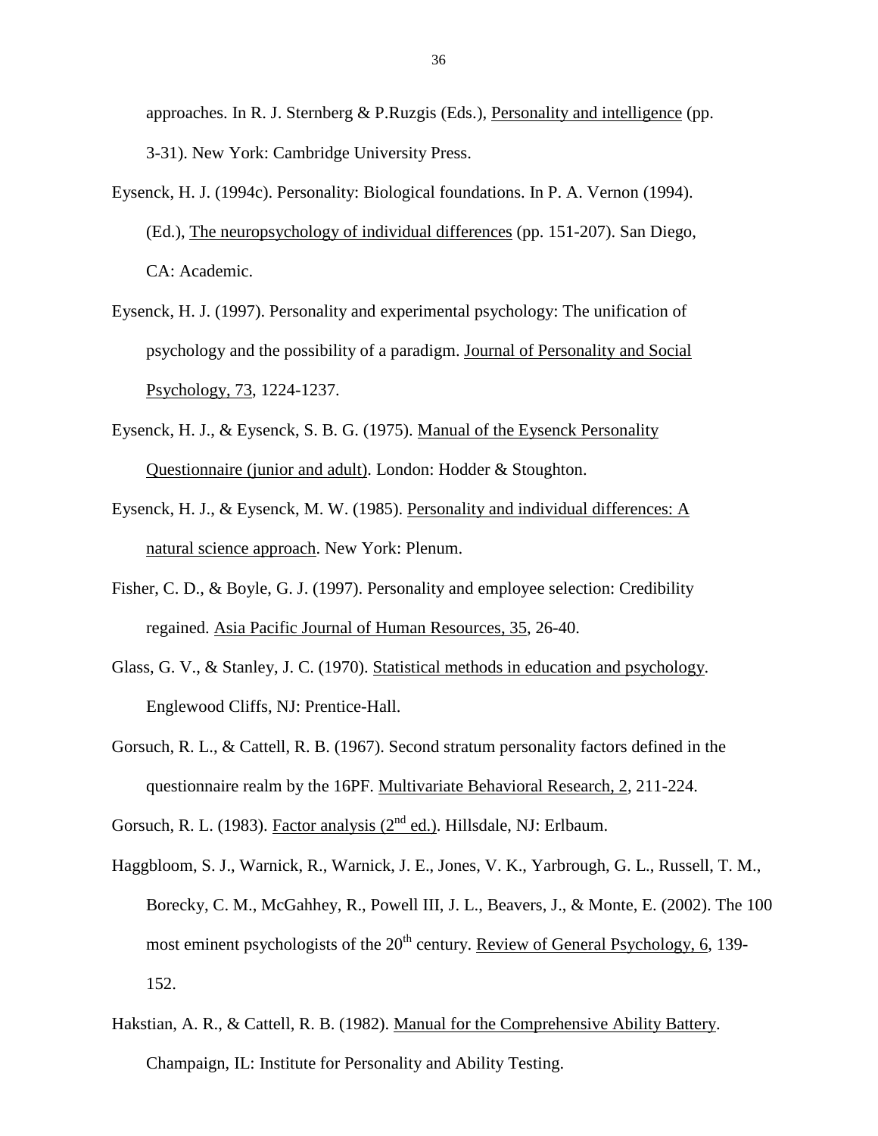approaches. In R. J. Sternberg & P.Ruzgis (Eds.), Personality and intelligence (pp. 3-31). New York: Cambridge University Press.

- Eysenck, H. J. (1994c). Personality: Biological foundations. In P. A. Vernon (1994). (Ed.), The neuropsychology of individual differences (pp. 151-207). San Diego, CA: Academic.
- Eysenck, H. J. (1997). Personality and experimental psychology: The unification of psychology and the possibility of a paradigm. Journal of Personality and Social Psychology, 73, 1224-1237.
- Eysenck, H. J., & Eysenck, S. B. G. (1975). Manual of the Eysenck Personality Questionnaire (junior and adult). London: Hodder & Stoughton.
- Eysenck, H. J., & Eysenck, M. W. (1985). Personality and individual differences: A natural science approach. New York: Plenum.
- Fisher, C. D., & Boyle, G. J. (1997). Personality and employee selection: Credibility regained. Asia Pacific Journal of Human Resources, 35, 26-40.
- Glass, G. V., & Stanley, J. C. (1970). Statistical methods in education and psychology. Englewood Cliffs, NJ: Prentice-Hall.
- Gorsuch, R. L., & Cattell, R. B. (1967). Second stratum personality factors defined in the questionnaire realm by the 16PF. Multivariate Behavioral Research, 2, 211-224.

Gorsuch, R. L. (1983). Factor analysis ( $2<sup>nd</sup>$  ed.). Hillsdale, NJ: Erlbaum.

- Haggbloom, S. J., Warnick, R., Warnick, J. E., Jones, V. K., Yarbrough, G. L., Russell, T. M., Borecky, C. M., McGahhey, R., Powell III, J. L., Beavers, J., & Monte, E. (2002). The 100 most eminent psychologists of the 20<sup>th</sup> century. Review of General Psychology, 6, 139-152.
- Hakstian, A. R., & Cattell, R. B. (1982). Manual for the Comprehensive Ability Battery. Champaign, IL: Institute for Personality and Ability Testing.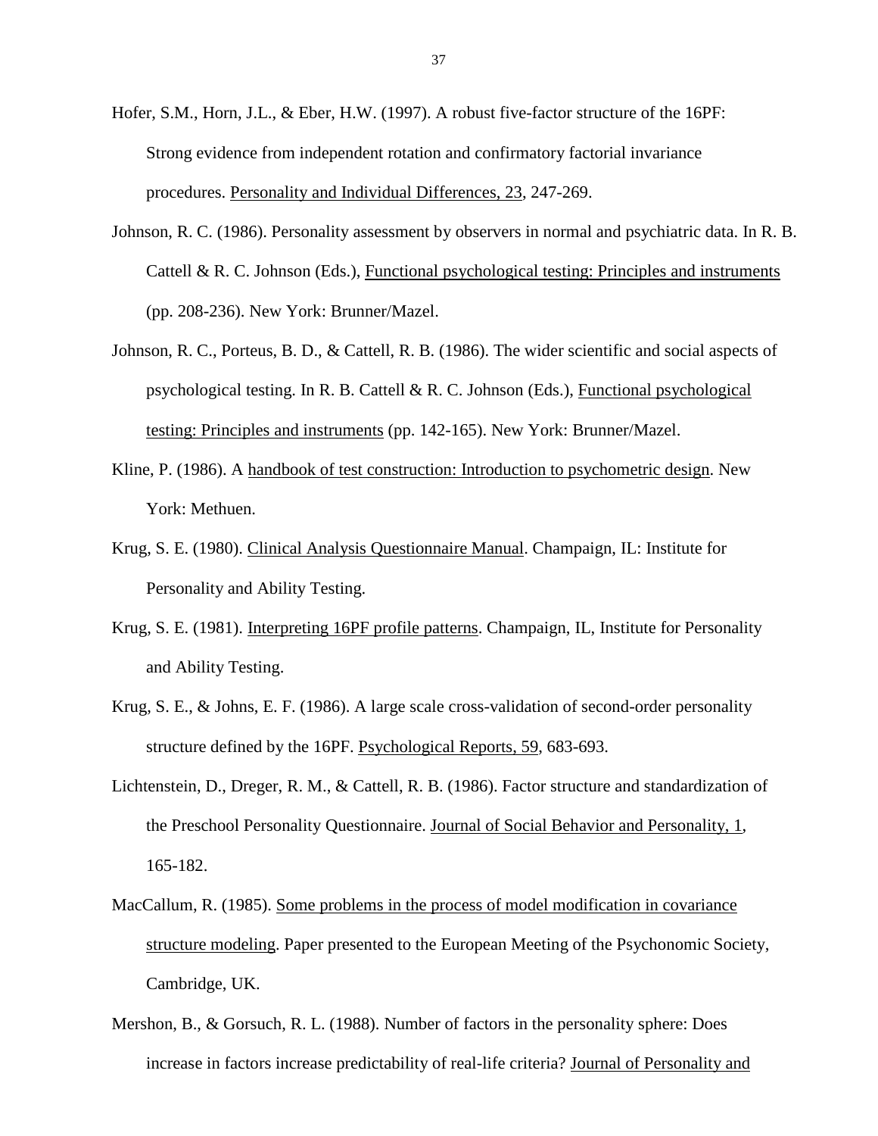Hofer, S.M., Horn, J.L., & Eber, H.W. (1997). A robust five-factor structure of the 16PF: Strong evidence from independent rotation and confirmatory factorial invariance procedures. Personality and Individual Differences, 23, 247-269.

- Johnson, R. C. (1986). Personality assessment by observers in normal and psychiatric data. In R. B. Cattell & R. C. Johnson (Eds.), Functional psychological testing: Principles and instruments (pp. 208-236). New York: Brunner/Mazel.
- Johnson, R. C., Porteus, B. D., & Cattell, R. B. (1986). The wider scientific and social aspects of psychological testing. In R. B. Cattell & R. C. Johnson (Eds.), Functional psychological testing: Principles and instruments (pp. 142-165). New York: Brunner/Mazel.
- Kline, P. (1986). A handbook of test construction: Introduction to psychometric design. New York: Methuen.
- Krug, S. E. (1980). Clinical Analysis Questionnaire Manual. Champaign, IL: Institute for Personality and Ability Testing.
- Krug, S. E. (1981). Interpreting 16PF profile patterns. Champaign, IL, Institute for Personality and Ability Testing.
- Krug, S. E., & Johns, E. F. (1986). A large scale cross-validation of second-order personality structure defined by the 16PF. Psychological Reports, 59, 683-693.
- Lichtenstein, D., Dreger, R. M., & Cattell, R. B. (1986). Factor structure and standardization of the Preschool Personality Questionnaire. Journal of Social Behavior and Personality, 1, 165-182.
- MacCallum, R. (1985). Some problems in the process of model modification in covariance structure modeling. Paper presented to the European Meeting of the Psychonomic Society, Cambridge, UK.
- Mershon, B., & Gorsuch, R. L. (1988). Number of factors in the personality sphere: Does increase in factors increase predictability of real-life criteria? Journal of Personality and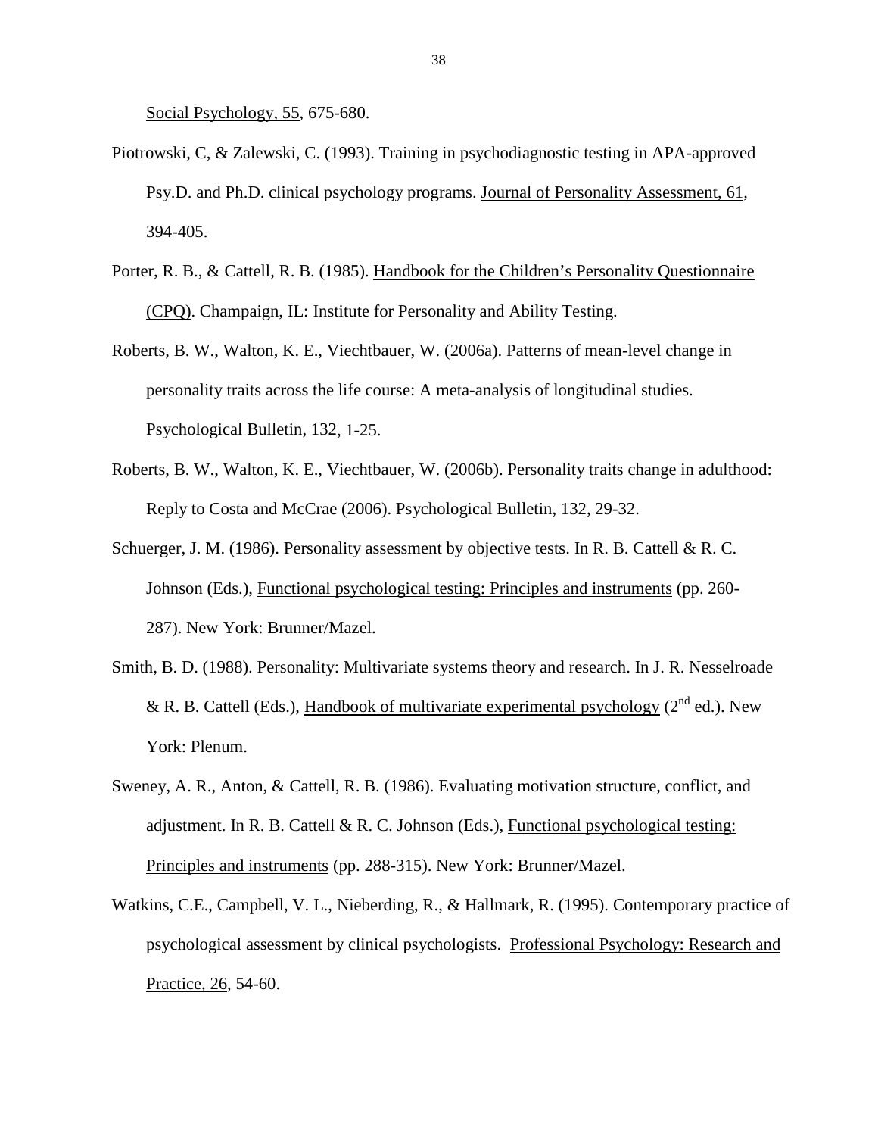Social Psychology, 55, 675-680.

- Piotrowski, C, & Zalewski, C. (1993). Training in psychodiagnostic testing in APA-approved Psy.D. and Ph.D. clinical psychology programs. Journal of Personality Assessment, 61, 394-405.
- Porter, R. B., & Cattell, R. B. (1985). Handbook for the Children's Personality Questionnaire (CPQ). Champaign, IL: Institute for Personality and Ability Testing.
- Roberts, B. W., Walton, K. E., Viechtbauer, W. (2006a). Patterns of mean-level change in personality traits across the life course: A meta-analysis of longitudinal studies. Psychological Bulletin, 132, 1-25.
- Roberts, B. W., Walton, K. E., Viechtbauer, W. (2006b). Personality traits change in adulthood: Reply to Costa and McCrae (2006). Psychological Bulletin, 132, 29-32.
- Schuerger, J. M. (1986). Personality assessment by objective tests. In R. B. Cattell & R. C. Johnson (Eds.), Functional psychological testing: Principles and instruments (pp. 260- 287). New York: Brunner/Mazel.
- Smith, B. D. (1988). Personality: Multivariate systems theory and research. In J. R. Nesselroade & R. B. Cattell (Eds.), Handbook of multivariate experimental psychology ( $2<sup>nd</sup>$  ed.). New York: Plenum.
- Sweney, A. R., Anton, & Cattell, R. B. (1986). Evaluating motivation structure, conflict, and adjustment. In R. B. Cattell & R. C. Johnson (Eds.), Functional psychological testing: Principles and instruments (pp. 288-315). New York: Brunner/Mazel.
- Watkins, C.E., Campbell, V. L., Nieberding, R., & Hallmark, R. (1995). Contemporary practice of psychological assessment by clinical psychologists. Professional Psychology: Research and Practice, 26, 54-60.